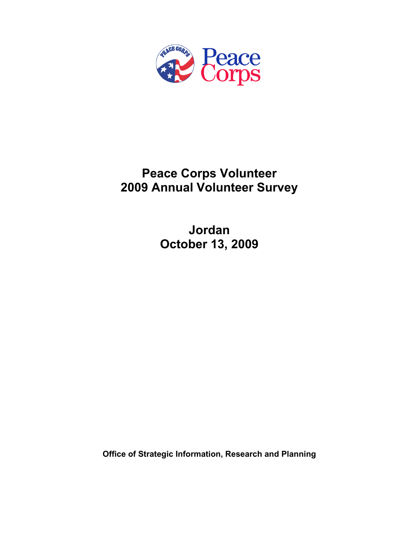

# **Peace Corps Volunteer 2009 Annual Volunteer Survey**

**Jordan October 13, 2009** 

**Office of Strategic Information, Research and Planning**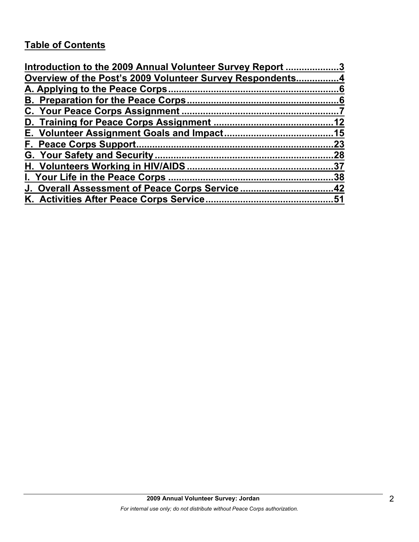# **Table of Contents**

| Introduction to the 2009 Annual Volunteer Survey Report 3 |     |
|-----------------------------------------------------------|-----|
| Overview of the Post's 2009 Volunteer Survey Respondents4 |     |
|                                                           |     |
|                                                           |     |
|                                                           |     |
|                                                           |     |
|                                                           |     |
|                                                           | .23 |
|                                                           |     |
|                                                           |     |
|                                                           |     |
| J. Overall Assessment of Peace Corps Service42            |     |
|                                                           |     |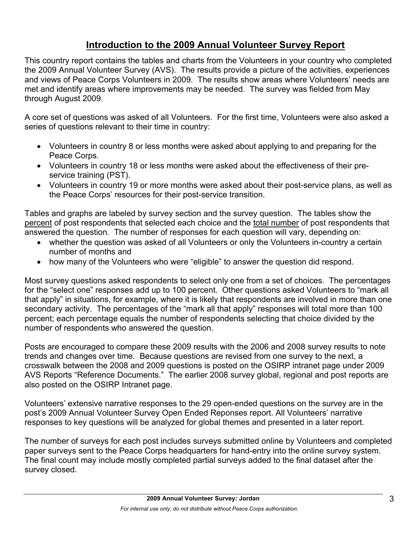# **Introduction to the 2009 Annual Volunteer Survey Report**

This country report contains the tables and charts from the Volunteers in your country who completed the 2009 Annual Volunteer Survey (AVS). The results provide a picture of the activities, experiences and views of Peace Corps Volunteers in 2009. The results show areas where Volunteers' needs are met and identify areas where improvements may be needed. The survey was fielded from May through August 2009.

A core set of questions was asked of all Volunteers. For the first time, Volunteers were also asked a series of questions relevant to their time in country:

- Volunteers in country 8 or less months were asked about applying to and preparing for the Peace Corps.
- Volunteers in country 18 or less months were asked about the effectiveness of their preservice training (PST).
- Volunteers in country 19 or more months were asked about their post-service plans, as well as the Peace Corps' resources for their post-service transition.

Tables and graphs are labeled by survey section and the survey question. The tables show the percent of post respondents that selected each choice and the total number of post respondents that answered the question. The number of responses for each question will vary, depending on:

- whether the question was asked of all Volunteers or only the Volunteers in-country a certain number of months and
- how many of the Volunteers who were "eligible" to answer the question did respond.

Most survey questions asked respondents to select only one from a set of choices. The percentages for the "select one" responses add up to 100 percent. Other questions asked Volunteers to "mark all that apply" in situations, for example, where it is likely that respondents are involved in more than one secondary activity. The percentages of the "mark all that apply" responses will total more than 100 percent; each percentage equals the number of respondents selecting that choice divided by the number of respondents who answered the question.

Posts are encouraged to compare these 2009 results with the 2006 and 2008 survey results to note trends and changes over time. Because questions are revised from one survey to the next, a crosswalk between the 2008 and 2009 questions is posted on the OSIRP intranet page under 2009 AVS Reports "Reference Documents." The earlier 2008 survey global, regional and post reports are also posted on the OSIRP Intranet page.

Volunteers' extensive narrative responses to the 29 open-ended questions on the survey are in the post's 2009 Annual Volunteer Survey Open Ended Reponses report. All Volunteers' narrative responses to key questions will be analyzed for global themes and presented in a later report.

The number of surveys for each post includes surveys submitted online by Volunteers and completed paper surveys sent to the Peace Corps headquarters for hand-entry into the online survey system. The final count may include mostly completed partial surveys added to the final dataset after the survey closed.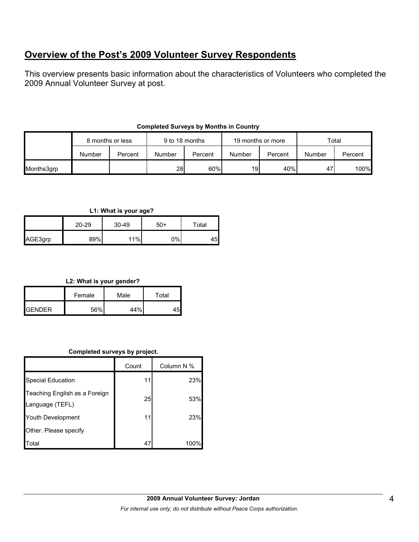## **Overview of the Post's 2009 Volunteer Survey Respondents**

This overview presents basic information about the characteristics of Volunteers who completed the 2009 Annual Volunteer Survey at post.

|            | 8 months or less |         | 9 to 18 months |         | 19 months or more |         | Total  |         |
|------------|------------------|---------|----------------|---------|-------------------|---------|--------|---------|
|            | Number           | Percent | Number         | Percent | Number            | Percent | Number | Percent |
| Months3grp |                  |         | <b>28</b>      | 60%     | 19                | 40%     | 47'    | 100%    |

## **Completed Surveys by Months in Country**

**L1: What is your age?**

|         | 20-29 | $30 - 49$ | $50+$ | Total |
|---------|-------|-----------|-------|-------|
| AGE3grp | 89%   | 11%       | $0\%$ | 45    |

**L2: What is your gender?**

|                 | Female | Male | Total |
|-----------------|--------|------|-------|
| <b>I</b> GENDER | 56%    | 44%  |       |

## **Completed surveys by project.**

|                                                  | Count | Column N % |
|--------------------------------------------------|-------|------------|
| Special Education                                | 11    | 23%        |
| Teaching English as a Foreign<br>Language (TEFL) | 25    | 53%        |
| Youth Development                                | 11    | 23%        |
| Other. Please specify                            |       |            |
| Total                                            | 47    | 100%       |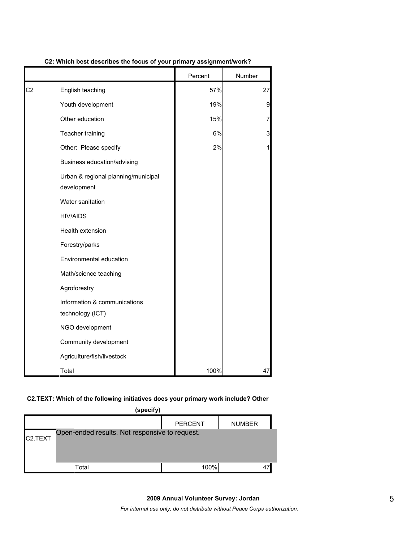|                |                                                    | Percent | Number         |
|----------------|----------------------------------------------------|---------|----------------|
| C <sub>2</sub> | English teaching                                   | 57%     | 27             |
|                | Youth development                                  | 19%     | 9              |
|                | Other education                                    | 15%     | $\overline{7}$ |
|                | Teacher training                                   | 6%      | 3              |
|                | Other: Please specify                              | 2%      | 1              |
|                | Business education/advising                        |         |                |
|                | Urban & regional planning/municipal<br>development |         |                |
|                | Water sanitation                                   |         |                |
|                | <b>HIV/AIDS</b>                                    |         |                |
|                | Health extension                                   |         |                |
|                | Forestry/parks                                     |         |                |
|                | Environmental education                            |         |                |
|                | Math/science teaching                              |         |                |
|                | Agroforestry                                       |         |                |
|                | Information & communications<br>technology (ICT)   |         |                |
|                | NGO development                                    |         |                |
|                | Community development                              |         |                |
|                | Agriculture/fish/livestock                         |         |                |
|                | Total                                              | 100%    | 47             |

**C2: Which best describes the focus of your primary assignment/work?**

## **C2.TEXT: Which of the following initiatives does your primary work include? Other**

| (specify)            |                                                |                |               |  |  |  |
|----------------------|------------------------------------------------|----------------|---------------|--|--|--|
|                      |                                                | <b>PERCENT</b> | <b>NUMBER</b> |  |  |  |
| C <sub>2</sub> .TEXT | Open-ended results. Not responsive to request. |                |               |  |  |  |
|                      |                                                |                |               |  |  |  |
|                      |                                                |                |               |  |  |  |
|                      | Total                                          | 100%           | 47            |  |  |  |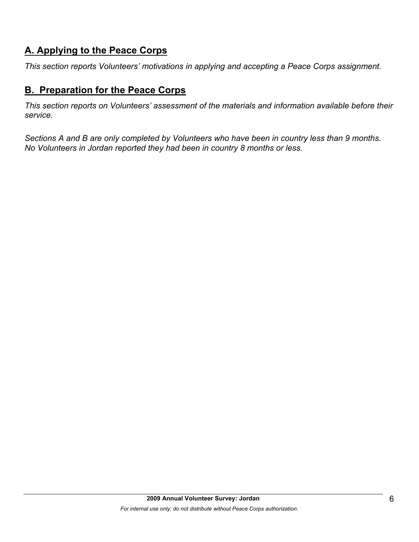# **A. Applying to the Peace Corps**

*This section reports Volunteers' motivations in applying and accepting a Peace Corps assignment.* 

## **B. Preparation for the Peace Corps**

*This section reports on Volunteers' assessment of the materials and information available before their service.* 

*Sections A and B are only completed by Volunteers who have been in country less than 9 months. No Volunteers in Jordan reported they had been in country 8 months or less.*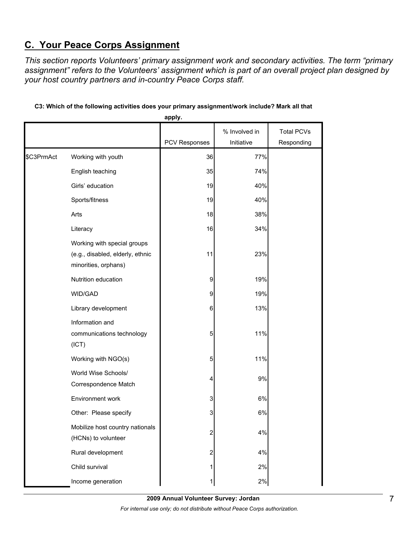# **C. Your Peace Corps Assignment**

*This section reports Volunteers' primary assignment work and secondary activities. The term "primary assignment" refers to the Volunteers' assignment which is part of an overall project plan designed by your host country partners and in-country Peace Corps staff.* 

|            |                                                                                         | apply.                  |                             |                                 |
|------------|-----------------------------------------------------------------------------------------|-------------------------|-----------------------------|---------------------------------|
|            |                                                                                         | PCV Responses           | % Involved in<br>Initiative | <b>Total PCVs</b><br>Responding |
| \$C3PrmAct | Working with youth                                                                      | 36                      | 77%                         |                                 |
|            | English teaching                                                                        | 35                      | 74%                         |                                 |
|            | Girls' education                                                                        | 19                      | 40%                         |                                 |
|            | Sports/fitness                                                                          | 19                      | 40%                         |                                 |
|            | Arts                                                                                    | 18                      | 38%                         |                                 |
|            | Literacy                                                                                | 16                      | 34%                         |                                 |
|            | Working with special groups<br>(e.g., disabled, elderly, ethnic<br>minorities, orphans) | 11                      | 23%                         |                                 |
|            | Nutrition education                                                                     | 9                       | 19%                         |                                 |
|            | WID/GAD                                                                                 | 9                       | 19%                         |                                 |
|            | Library development                                                                     | 6                       | 13%                         |                                 |
|            | Information and<br>communications technology<br>(ICT)                                   | 5                       | 11%                         |                                 |
|            | Working with NGO(s)                                                                     | 5                       | 11%                         |                                 |
|            | World Wise Schools/<br>Correspondence Match                                             | 4                       | 9%                          |                                 |
|            | Environment work                                                                        | 3                       | 6%                          |                                 |
|            | Other: Please specify                                                                   | 3                       | 6%                          |                                 |
|            | Mobilize host country nationals<br>(HCNs) to volunteer                                  | 2                       | 4%                          |                                 |
|            | Rural development                                                                       | $\overline{\mathbf{c}}$ | 4%                          |                                 |
|            | Child survival                                                                          |                         | 2%                          |                                 |
|            | Income generation                                                                       |                         | 2%                          |                                 |

## **C3: Which of the following activities does your primary assignment/work include? Mark all that**

**2009 Annual Volunteer Survey: Jordan** 

*For internal use only; do not distribute without Peace Corps authorization.*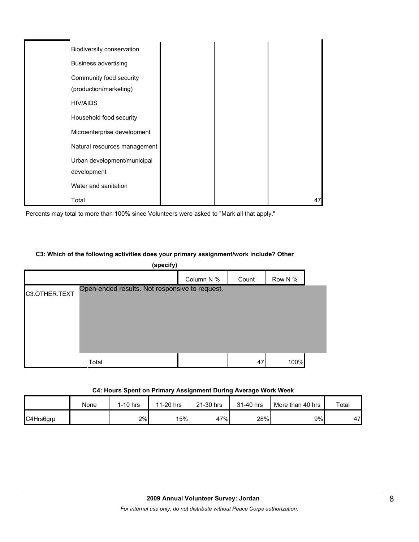| Biodiversity conservation                         |    |
|---------------------------------------------------|----|
| <b>Business advertising</b>                       |    |
| Community food security<br>(production/marketing) |    |
| <b>HIV/AIDS</b>                                   |    |
| Household food security                           |    |
| Microenterprise development                       |    |
| Natural resources management                      |    |
| Urban development/municipal<br>development        |    |
| Water and sanitation                              |    |
| Total                                             | 47 |

Percents may total to more than 100% since Volunteers were asked to "Mark all that apply."

## **C3: Which of the following activities does your primary assignment/work include? Other**

| (specify)     |                                                |            |       |         |  |
|---------------|------------------------------------------------|------------|-------|---------|--|
|               |                                                | Column N % | Count | Row N % |  |
| C3.OTHER.TEXT | Open-ended results. Not responsive to request. |            |       |         |  |
|               | Total                                          |            | 47    | 100%    |  |

#### **C4: Hours Spent on Primary Assignment During Average Work Week**

|           | None | $1-10$ hrs | 11-20 hrs | 21-30 hrs | 31-40 hrs | More than 40 hrs | Total |
|-----------|------|------------|-----------|-----------|-----------|------------------|-------|
| C4Hrs6grp |      | 2%         | 15%       | 47%       | 28%       | 9%               | 47    |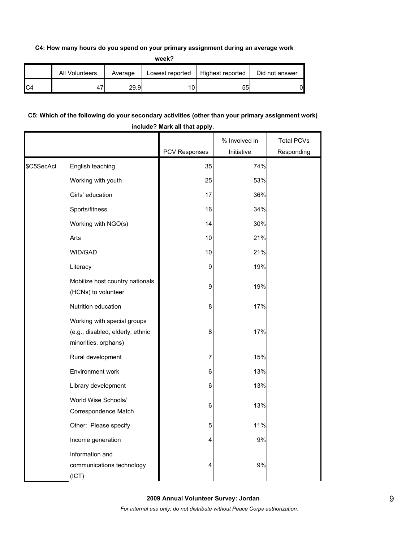## **C4: How many hours do you spend on your primary assignment during an average work**

**week?**

| All Volunteers | Average | Lowest reported | Highest reported | Did not answer |
|----------------|---------|-----------------|------------------|----------------|
|                | 29.9    | 10              | 55               | 01             |

## **C5: Which of the following do your secondary activities (other than your primary assignment work) include? Mark all that apply.**

|            |                                                                                         | PCV Responses | % Involved in<br>Initiative | <b>Total PCVs</b><br>Responding |
|------------|-----------------------------------------------------------------------------------------|---------------|-----------------------------|---------------------------------|
| \$C5SecAct | English teaching                                                                        | 35            | 74%                         |                                 |
|            | Working with youth                                                                      | 25            | 53%                         |                                 |
|            | Girls' education                                                                        | 17            | 36%                         |                                 |
|            | Sports/fitness                                                                          | 16            | 34%                         |                                 |
|            |                                                                                         |               |                             |                                 |
|            | Working with NGO(s)                                                                     | 14            | 30%                         |                                 |
|            | Arts                                                                                    | 10            | 21%                         |                                 |
|            | WID/GAD                                                                                 | $10$          | 21%                         |                                 |
|            | Literacy                                                                                | 9             | 19%                         |                                 |
|            | Mobilize host country nationals<br>(HCNs) to volunteer                                  | 9             | 19%                         |                                 |
|            | Nutrition education                                                                     | 8             | 17%                         |                                 |
|            | Working with special groups<br>(e.g., disabled, elderly, ethnic<br>minorities, orphans) | 8             | 17%                         |                                 |
|            | Rural development                                                                       | 7             | 15%                         |                                 |
|            | Environment work                                                                        | 6             | 13%                         |                                 |
|            | Library development                                                                     | 6             | 13%                         |                                 |
|            | World Wise Schools/<br>Correspondence Match                                             | 6             | 13%                         |                                 |
|            | Other: Please specify                                                                   | 5             | 11%                         |                                 |
|            | Income generation                                                                       | 4             | 9%                          |                                 |
|            | Information and<br>communications technology<br>(ICT)                                   | 4             | 9%                          |                                 |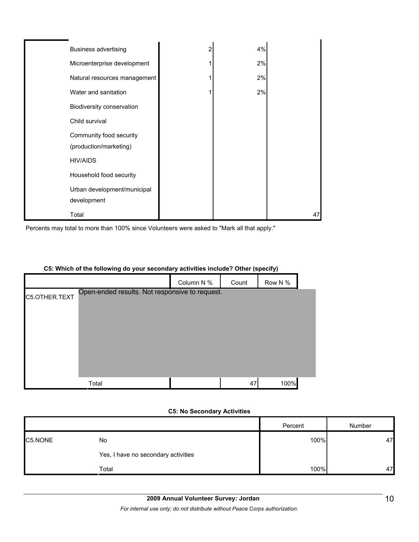| <b>Business advertising</b>                       | 2 | 4% |    |
|---------------------------------------------------|---|----|----|
| Microenterprise development                       |   | 2% |    |
| Natural resources management                      |   | 2% |    |
| Water and sanitation                              |   | 2% |    |
| Biodiversity conservation                         |   |    |    |
| Child survival                                    |   |    |    |
| Community food security<br>(production/marketing) |   |    |    |
| <b>HIV/AIDS</b>                                   |   |    |    |
| Household food security                           |   |    |    |
| Urban development/municipal                       |   |    |    |
| development                                       |   |    |    |
| Total                                             |   |    | 47 |

Percents may total to more than 100% since Volunteers were asked to "Mark all that apply."

## **C5: Which of the following do your secondary activities include? Other (specify)**

|               |                                                | Column N % | Count | Row N % |  |
|---------------|------------------------------------------------|------------|-------|---------|--|
| C5.OTHER.TEXT | Open-ended results. Not responsive to request. |            |       |         |  |
|               |                                                |            |       |         |  |
|               |                                                |            |       |         |  |
|               |                                                |            |       |         |  |
|               |                                                |            |       |         |  |
|               |                                                |            |       |         |  |
|               |                                                |            |       |         |  |
|               | Total                                          |            | 47    | 100%    |  |

## **C5: No Secondary Activities**

|         |                                     | Percent | Number |
|---------|-------------------------------------|---------|--------|
| C5.NONE | No                                  | 100%    | 47     |
|         | Yes, I have no secondary activities |         |        |
|         | Total                               | 100%    | 47     |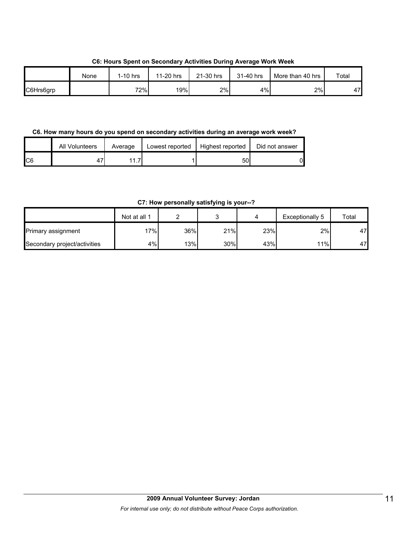**C6: Hours Spent on Secondary Activities During Average Work Week**

|           | None | 1-10 hrs | 11-20 hrs | 21-30 hrs | 31-40 hrs | More than 40 hrs | Total |
|-----------|------|----------|-----------|-----------|-----------|------------------|-------|
| C6Hrs6grp |      | 72%      | 19%       | 2%        | 4%        | 2%               | 47    |

**C6. How many hours do you spend on secondary activities during an average work week?**

|     | All Volunteers | Average | Lowest reported | Highest reported | Did not answer |
|-----|----------------|---------|-----------------|------------------|----------------|
| IC6 |                |         |                 | 50               | N              |

**C7: How personally satisfying is your--?**

|                              | Not at all 1 |     |     |     | Exceptionally 5 | Total |
|------------------------------|--------------|-----|-----|-----|-----------------|-------|
| Primary assignment           | $17\%$       | 36% | 21% | 23% | 2%              | 47    |
| Secondary project/activities | 4%           | 13% | 30% | 43% | 11%             | 47    |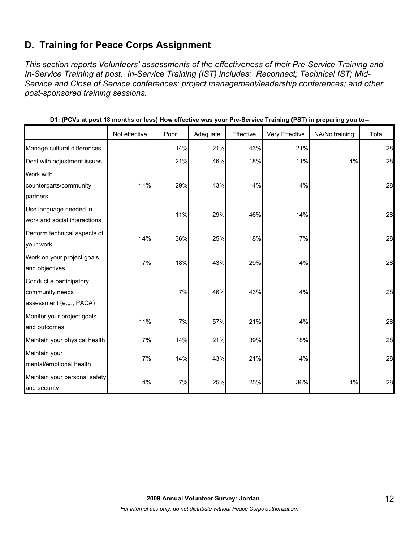# **D. Training for Peace Corps Assignment**

*This section reports Volunteers' assessments of the effectiveness of their Pre-Service Training and In-Service Training at post. In-Service Training (IST) includes: Reconnect; Technical IST; Mid-Service and Close of Service conferences; project management/leadership conferences; and other post-sponsored training sessions.* 

|                               | Not effective | Poor  | Adequate | Effective | Very Effective | NA/No training | Total |
|-------------------------------|---------------|-------|----------|-----------|----------------|----------------|-------|
| Manage cultural differences   |               | 14%   | 21%      | 43%       | 21%            |                | 28    |
| Deal with adjustment issues   |               | 21%   | 46%      | 18%       | 11%            | 4%             | 28    |
| Work with                     |               |       |          |           |                |                |       |
| counterparts/community        | 11%           | 29%   | 43%      | 14%       | 4%             |                | 28    |
| partners                      |               |       |          |           |                |                |       |
| Use language needed in        |               | 11%   | 29%      | 46%       | 14%            |                | 28    |
| work and social interactions  |               |       |          |           |                |                |       |
| Perform technical aspects of  | 14%           | 36%   | 25%      | 18%       | 7%             |                | 28    |
| your work                     |               |       |          |           |                |                |       |
| Work on your project goals    | 7%            | 18%   | 43%      | 29%       | 4%             |                | 28    |
| and objectives                |               |       |          |           |                |                |       |
| Conduct a participatory       |               |       |          |           |                |                |       |
| community needs               |               | $7\%$ | 46%      | 43%       | 4%             |                | 28    |
| assessment (e.g., PACA)       |               |       |          |           |                |                |       |
| Monitor your project goals    | 11%           | 7%    | 57%      | 21%       | 4%             |                | 28    |
| and outcomes                  |               |       |          |           |                |                |       |
| Maintain your physical health | 7%            | 14%   | 21%      | 39%       | 18%            |                | 28    |
| Maintain your                 | 7%            | 14%   | 43%      | 21%       | 14%            |                | 28    |
| mental/emotional health       |               |       |          |           |                |                |       |
| Maintain your personal safety | 4%            | 7%    | 25%      | 25%       | 36%            | 4%             | 28    |
| and security                  |               |       |          |           |                |                |       |

**D1: (PCVs at post 18 months or less) How effective was your Pre-Service Training (PST) in preparing you to--**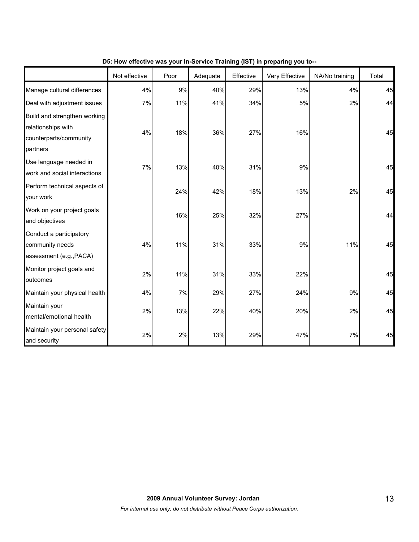|                                                                                          | Not effective | Poor | Adequate | Effective | Very Effective | NA/No training | Total |
|------------------------------------------------------------------------------------------|---------------|------|----------|-----------|----------------|----------------|-------|
| Manage cultural differences                                                              | 4%            | 9%   | 40%      | 29%       | 13%            | 4%             | 45    |
| Deal with adjustment issues                                                              | 7%            | 11%  | 41%      | 34%       | 5%             | 2%             | 44    |
| Build and strengthen working<br>relationships with<br>counterparts/community<br>partners | 4%            | 18%  | 36%      | 27%       | 16%            |                | 45    |
| Use language needed in<br>work and social interactions                                   | 7%            | 13%  | 40%      | 31%       | $9\%$          |                | 45    |
| Perform technical aspects of<br>your work                                                |               | 24%  | 42%      | 18%       | 13%            | 2%             | 45    |
| Work on your project goals<br>and objectives                                             |               | 16%  | 25%      | 32%       | 27%            |                | 44    |
| Conduct a participatory<br>community needs<br>assessment (e.g., PACA)                    | 4%            | 11%  | 31%      | 33%       | 9%             | 11%            | 45    |
| Monitor project goals and<br>outcomes                                                    | 2%            | 11%  | 31%      | 33%       | 22%            |                | 45    |
| Maintain your physical health                                                            | 4%            | 7%   | 29%      | 27%       | 24%            | 9%             | 45    |
| Maintain your<br>mental/emotional health                                                 | 2%            | 13%  | 22%      | 40%       | 20%            | 2%             | 45    |
| Maintain your personal safety<br>and security                                            | 2%            | 2%   | 13%      | 29%       | 47%            | 7%             | 45    |

**D5: How effective was your In-Service Training (IST) in preparing you to--**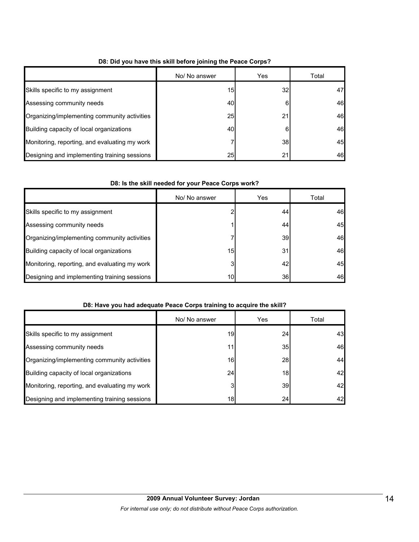|                                               | No/ No answer | Yes            | Total |
|-----------------------------------------------|---------------|----------------|-------|
| Skills specific to my assignment              | 15            | 32             | 47    |
| Assessing community needs                     | 40            | 6              | 46    |
| Organizing/implementing community activities  | 25            | 21             | 46    |
| Building capacity of local organizations      | 40            | 6              | 46    |
| Monitoring, reporting, and evaluating my work |               | 38             | 45    |
| Designing and implementing training sessions  | 25            | 2 <sup>1</sup> | 46    |

## **D8: Did you have this skill before joining the Peace Corps?**

## **D8: Is the skill needed for your Peace Corps work?**

|                                               | No/ No answer   | Yes | Total |
|-----------------------------------------------|-----------------|-----|-------|
| Skills specific to my assignment              |                 | 44  | 46    |
| Assessing community needs                     |                 | 44  | 45    |
| Organizing/implementing community activities  |                 | 39  | 46    |
| Building capacity of local organizations      | 15              | 31  | 46    |
| Monitoring, reporting, and evaluating my work | 3               | 42  | 45    |
| Designing and implementing training sessions  | 10 <sub>l</sub> | 36  | 46    |

## **D8: Have you had adequate Peace Corps training to acquire the skill?**

|                                               | No/ No answer | Yes             | Total |
|-----------------------------------------------|---------------|-----------------|-------|
| Skills specific to my assignment              | 19            | 24              | 43    |
| Assessing community needs                     | 11            | 35              | 46    |
| Organizing/implementing community activities  | 16            | 28              | 44    |
| Building capacity of local organizations      | 24            | 18 <sup>1</sup> | 42    |
| Monitoring, reporting, and evaluating my work | 3             | 39              | 42    |
| Designing and implementing training sessions  | 18            | 24              | 42    |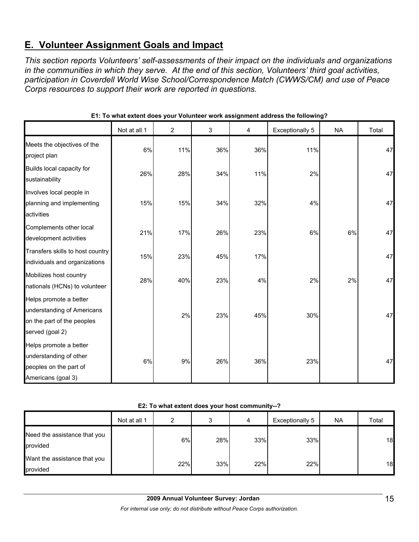# **E. Volunteer Assignment Goals and Impact**

*This section reports Volunteers' self-assessments of their impact on the individuals and organizations in the communities in which they serve. At the end of this section, Volunteers' third goal activities, participation in Coverdell World Wise School/Correspondence Match (CWWS/CM) and use of Peace Corps resources to support their work are reported in questions.* 

|                                                                                                       | Not at all 1 | $\overline{2}$ | 3   | 4   | <b>Exceptionally 5</b> | <b>NA</b> | Total |
|-------------------------------------------------------------------------------------------------------|--------------|----------------|-----|-----|------------------------|-----------|-------|
| Meets the objectives of the<br>project plan                                                           | 6%           | 11%            | 36% | 36% | 11%                    |           | 47    |
| Builds local capacity for<br>sustainability                                                           | 26%          | 28%            | 34% | 11% | 2%                     |           | 47    |
| Involves local people in<br>planning and implementing<br>activities                                   | 15%          | 15%            | 34% | 32% | 4%                     |           | 47    |
| Complements other local<br>development activities                                                     | 21%          | 17%            | 26% | 23% | 6%                     | 6%        | 47    |
| Transfers skills to host country<br>individuals and organizations                                     | 15%          | 23%            | 45% | 17% |                        |           | 47    |
| Mobilizes host country<br>nationals (HCNs) to volunteer                                               | 28%          | 40%            | 23% | 4%  | 2%                     | 2%        | 47    |
| Helps promote a better<br>understanding of Americans<br>on the part of the peoples<br>served (goal 2) |              | 2%             | 23% | 45% | 30%                    |           | 47    |
| Helps promote a better<br>understanding of other<br>peoples on the part of<br>Americans (goal 3)      | 6%           | 9%             | 26% | 36% | 23%                    |           | 47    |

**E1: To what extent does your Volunteer work assignment address the following?**

## **E2: To what extent does your host community--?**

|                                          | Not at all 1 | າ   |     | 4   | Exceptionally 5 | <b>NA</b> | Total |
|------------------------------------------|--------------|-----|-----|-----|-----------------|-----------|-------|
| Need the assistance that you<br>provided |              | 6%  | 28% | 33% | 33%             |           | 18    |
| Want the assistance that you<br>provided |              | 22% | 33% | 22% | 22%             |           | 18    |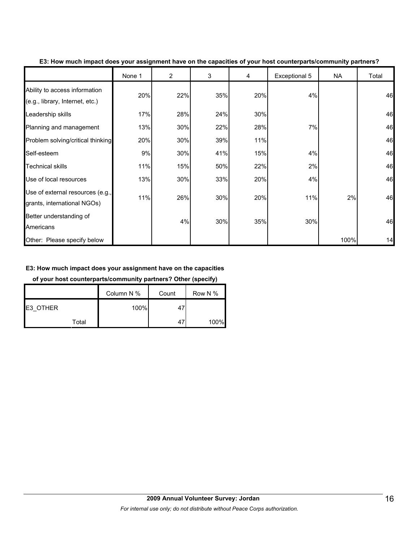|                                                                  | None 1 | $\overline{2}$ | 3   | 4   | Exceptional 5 | <b>NA</b> | Total |
|------------------------------------------------------------------|--------|----------------|-----|-----|---------------|-----------|-------|
| Ability to access information<br>(e.g., library, Internet, etc.) | 20%    | 22%            | 35% | 20% | 4%            |           | 46    |
| Leadership skills                                                | 17%    | 28%            | 24% | 30% |               |           | 46    |
| Planning and management                                          | 13%    | 30%            | 22% | 28% | 7%            |           | 46    |
| Problem solving/critical thinking                                | 20%    | 30%            | 39% | 11% |               |           | 46    |
| Self-esteem                                                      | 9%     | 30%            | 41% | 15% | 4%            |           | 46    |
| <b>Technical skills</b>                                          | 11%    | 15%            | 50% | 22% | 2%            |           | 46    |
| Use of local resources                                           | 13%    | 30%            | 33% | 20% | 4%            |           | 46    |
| Use of external resources (e.g.,<br>grants, international NGOs)  | 11%    | 26%            | 30% | 20% | 11%           | 2%        | 46    |
| Better understanding of<br>Americans                             |        | 4%             | 30% | 35% | 30%           |           | 46    |
| Other: Please specify below                                      |        |                |     |     |               | 100%      | 14    |

**E3: How much impact does your assignment have on the capacities of your host counterparts/community partners?**

## **E3: How much impact does your assignment have on the capacities**

**of your host counterparts/community partners? Other (specify)**

|          | Column N % | Count | Row N % |
|----------|------------|-------|---------|
| E3 OTHER | 100%       | 47    |         |
| Total    |            | 4,    | 100%    |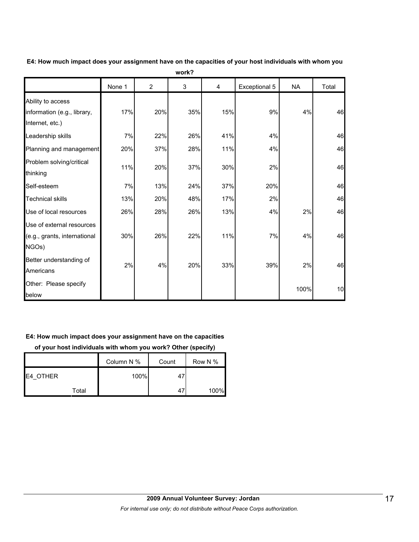|                                                                     | None 1 | $\overline{c}$ | 3   | 4   | Exceptional 5 | <b>NA</b> | Total |
|---------------------------------------------------------------------|--------|----------------|-----|-----|---------------|-----------|-------|
| Ability to access<br>information (e.g., library,<br>Internet, etc.) | 17%    | 20%            | 35% | 15% | 9%            | 4%        | 46    |
| Leadership skills                                                   | 7%     | 22%            | 26% | 41% | 4%            |           | 46    |
| Planning and management                                             | 20%    | 37%            | 28% | 11% | 4%            |           | 46    |
| Problem solving/critical<br>thinking                                | 11%    | 20%            | 37% | 30% | 2%            |           | 46    |
| Self-esteem                                                         | 7%     | 13%            | 24% | 37% | 20%           |           | 46    |
| <b>Technical skills</b>                                             | 13%    | 20%            | 48% | 17% | 2%            |           | 46    |
| Use of local resources                                              | 26%    | 28%            | 26% | 13% | 4%            | 2%        | 46    |
| Use of external resources<br>(e.g., grants, international<br>NGOs)  | 30%    | 26%            | 22% | 11% | 7%            | 4%        | 46    |
| Better understanding of<br>Americans                                | 2%     | 4%             | 20% | 33% | 39%           | 2%        | 46    |
| Other: Please specify<br>below                                      |        |                |     |     |               | 100%      | 10    |

**E4: How much impact does your assignment have on the capacities of your host individuals with whom you work?**

## **E4: How much impact does your assignment have on the capacities**

**of your host individuals with whom you work? Other (specify)**

|                  | Column N % | Count | Row N % |
|------------------|------------|-------|---------|
| <b>IE4 OTHER</b> | 100%       | 47    |         |
| Total            |            | 47    | 100%    |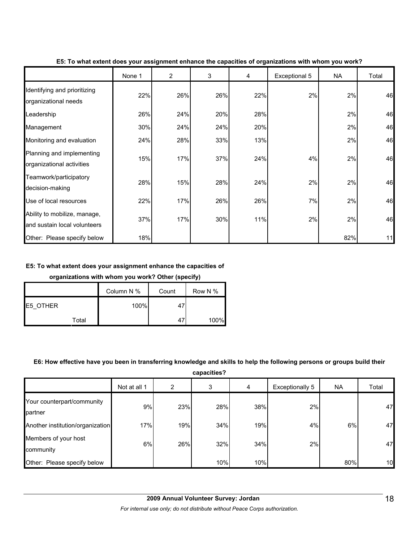|                                                              | None 1 | $\overline{2}$ | 3   | 4   | Exceptional 5 | <b>NA</b> | Total |
|--------------------------------------------------------------|--------|----------------|-----|-----|---------------|-----------|-------|
| Identifying and prioritizing<br>organizational needs         | 22%    | 26%            | 26% | 22% | 2%            | 2%        | 46    |
| Leadership                                                   | 26%    | 24%            | 20% | 28% |               | 2%        | 46    |
| Management                                                   | 30%    | 24%            | 24% | 20% |               | 2%        | 46    |
| Monitoring and evaluation                                    | 24%    | 28%            | 33% | 13% |               | 2%        | 46    |
| Planning and implementing<br>organizational activities       | 15%    | 17%            | 37% | 24% | 4%            | 2%        | 46    |
| Teamwork/participatory<br>decision-making                    | 28%    | 15%            | 28% | 24% | 2%            | 2%        | 46    |
| Use of local resources                                       | 22%    | 17%            | 26% | 26% | 7%            | 2%        | 46    |
| Ability to mobilize, manage,<br>and sustain local volunteers | 37%    | 17%            | 30% | 11% | 2%            | 2%        | 46    |
| Other: Please specify below                                  | 18%    |                |     |     |               | 82%       | 11    |

#### **E5: To what extent does your assignment enhance the capacities of organizations with whom you work?**

#### **E5: To what extent does your assignment enhance the capacities of**

#### **organizations with whom you work? Other (specify)**

|                 | Column N % | Count | Row N % |
|-----------------|------------|-------|---------|
| <b>E5 OTHER</b> | 100%       | 4     |         |
| Total           |            | -47   | 100%    |

## **E6: How effective have you been in transferring knowledge and skills to help the following persons or groups build their**

**capacities?**

|                                       | Not at all 1 | 2   | 3   | 4   | Exceptionally 5 | NA. | Total |
|---------------------------------------|--------------|-----|-----|-----|-----------------|-----|-------|
| Your counterpart/community<br>partner | 9%           | 23% | 28% | 38% | 2%              |     | 47    |
| Another institution/organization      | 17%          | 19% | 34% | 19% | 4%              | 6%  | 47    |
| Members of your host<br>community     | 6%           | 26% | 32% | 34% | 2%              |     | 47    |
| Other: Please specify below           |              |     | 10% | 10% |                 | 80% | 10    |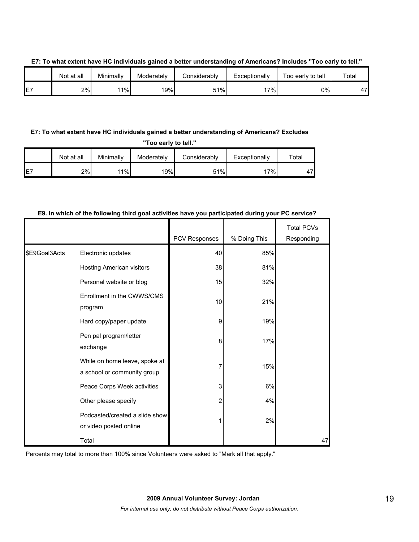|    | Not at all | Minimally | Moderately | Considerably | Exceptionally | Too early to tell | Total |
|----|------------|-----------|------------|--------------|---------------|-------------------|-------|
| E7 | 2%         | 1%        | 19%        | 51%          | $7\%$         | 0%I               | 47    |

**E7: To what extent have HC individuals gained a better understanding of Americans? Includes "Too early to tell."**

## **E7: To what extent have HC individuals gained a better understanding of Americans? Excludes**

**"Too early to tell."**

|     | Not at all | Minimally | Moderately | Considerably | Exceptionally | $\tau$ otal |
|-----|------------|-----------|------------|--------------|---------------|-------------|
| IE7 | 2%l        | 11%       | 19%        | 51%          | '7%           | 17          |

|               |                                                              |               |              | <b>Total PCVs</b> |
|---------------|--------------------------------------------------------------|---------------|--------------|-------------------|
|               |                                                              | PCV Responses | % Doing This | Responding        |
| \$E9Goal3Acts | Electronic updates                                           | 40            | 85%          |                   |
|               | Hosting American visitors                                    | 38            | 81%          |                   |
|               | Personal website or blog                                     | 15            | 32%          |                   |
|               | Enrollment in the CWWS/CMS<br>program                        | 10            | 21%          |                   |
|               | Hard copy/paper update                                       | 9             | 19%          |                   |
|               | Pen pal program/letter<br>exchange                           | 8             | 17%          |                   |
|               | While on home leave, spoke at<br>a school or community group | 7             | 15%          |                   |
|               | Peace Corps Week activities                                  | 3             | 6%           |                   |
|               | Other please specify                                         | 2             | 4%           |                   |
|               | Podcasted/created a slide show<br>or video posted online     | 1             | 2%           |                   |
|               | Total                                                        |               |              | 47                |

## **E9. In which of the following third goal activities have you participated during your PC service?**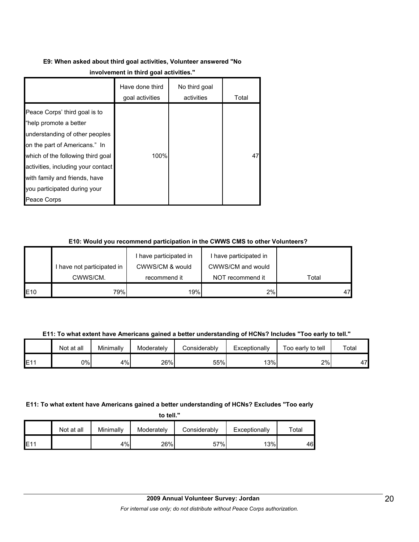# **E9: When asked about third goal activities, Volunteer answered "No**

|                                                                                                                                                                                                                                                                                       | Have done third<br>goal activities | No third goal<br>activities | Total |
|---------------------------------------------------------------------------------------------------------------------------------------------------------------------------------------------------------------------------------------------------------------------------------------|------------------------------------|-----------------------------|-------|
| Peace Corps' third goal is to<br>"help promote a better<br>understanding of other peoples<br>on the part of Americans." In<br>which of the following third goal<br>activities, including your contact<br>with family and friends, have<br>you participated during your<br>Peace Corps | 100%                               |                             | 47    |

## **E10: Would you recommend participation in the CWWS CMS to other Volunteers?**

|     |                            | I have participated in | I have participated in |       |
|-----|----------------------------|------------------------|------------------------|-------|
|     | I have not participated in | CWWS/CM & would        | CWWS/CM and would      |       |
|     | CWWS/CM.                   | recommend it           | NOT recommend it       | Total |
| E10 | 79%                        | 19%                    | 2%                     |       |

**E11: To what extent have Americans gained a better understanding of HCNs? Includes "Too early to tell."**

|     | Not at all | Minimally | Moderately | Considerably | Exceptionally | Too early to tell | Total |
|-----|------------|-----------|------------|--------------|---------------|-------------------|-------|
| E11 | 9%         | 4%        | 26%        | 55%          | 13%           | 2%                | 47    |

## **E11: To what extent have Americans gained a better understanding of HCNs? Excludes "Too early**

**to tell."**

|     | Not at all | Minimally | Moderately | Considerably | Exceptionally | ™otal |
|-----|------------|-----------|------------|--------------|---------------|-------|
| E11 |            | 4%        | 26%        | 57%          | 13%           | 46    |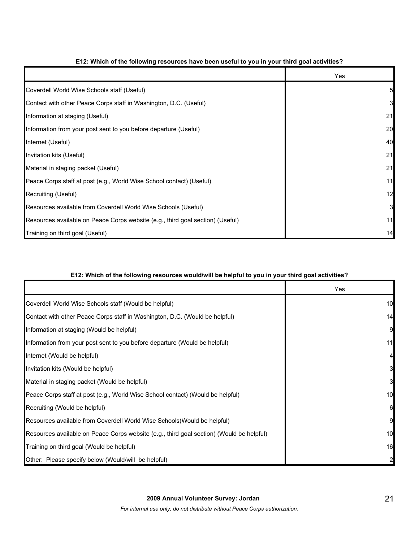|                                                                                | Yes |
|--------------------------------------------------------------------------------|-----|
| Coverdell World Wise Schools staff (Useful)                                    |     |
| Contact with other Peace Corps staff in Washington, D.C. (Useful)              | 3   |
| Information at staging (Useful)                                                | 21  |
| Information from your post sent to you before departure (Useful)               | 20  |
| Internet (Useful)                                                              | 40  |
| Invitation kits (Useful)                                                       | 21  |
| Material in staging packet (Useful)                                            | 21  |
| Peace Corps staff at post (e.g., World Wise School contact) (Useful)           | 11  |
| Recruiting (Useful)                                                            | 12  |
| Resources available from Coverdell World Wise Schools (Useful)                 | 3   |
| Resources available on Peace Corps website (e.g., third goal section) (Useful) | 11  |
| Training on third goal (Useful)                                                | 14  |

## **E12: Which of the following resources have been useful to you in your third goal activities?**

## **E12: Which of the following resources would/will be helpful to you in your third goal activities?**

|                                                                                          | Yes      |
|------------------------------------------------------------------------------------------|----------|
| Coverdell World Wise Schools staff (Would be helpful)                                    | 10       |
| Contact with other Peace Corps staff in Washington, D.C. (Would be helpful)              | 14       |
| Information at staging (Would be helpful)                                                | 9        |
| Information from your post sent to you before departure (Would be helpful)               | 11       |
| Internet (Would be helpful)                                                              |          |
| Invitation kits (Would be helpful)                                                       | 3        |
| Material in staging packet (Would be helpful)                                            | $3 \mid$ |
| Peace Corps staff at post (e.g., World Wise School contact) (Would be helpful)           | 10       |
| Recruiting (Would be helpful)                                                            | 6        |
| Resources available from Coverdell World Wise Schools (Would be helpful)                 | 9        |
| Resources available on Peace Corps website (e.g., third goal section) (Would be helpful) | 10       |
| Training on third goal (Would be helpful)                                                | 16       |
| Other: Please specify below (Would/will be helpful)                                      |          |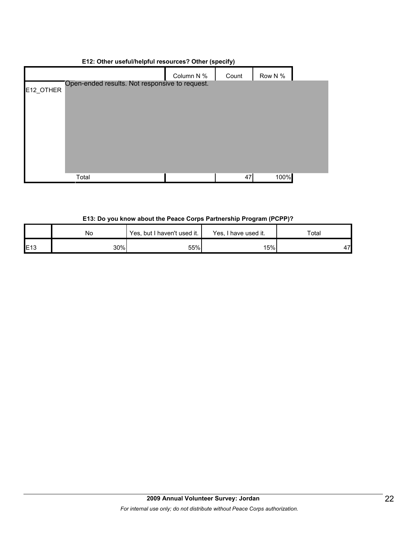## **E12: Other useful/helpful resources? Other (specify)**

|           |                                                | Column N % | Count | Row N % |  |
|-----------|------------------------------------------------|------------|-------|---------|--|
| E12_OTHER | Open-ended results. Not responsive to request. |            |       |         |  |
|           |                                                |            |       |         |  |
|           |                                                |            |       |         |  |
|           |                                                |            |       |         |  |
|           |                                                |            |       |         |  |
|           |                                                |            |       |         |  |
|           | Total                                          |            | 47    | 100%    |  |

#### **E13: Do you know about the Peace Corps Partnership Program (PCPP)?**

|                 | No  | Yes, but I haven't used it. | Yes, I have used it. | Total |
|-----------------|-----|-----------------------------|----------------------|-------|
| E <sub>13</sub> | 30% | 55%                         | 15%                  | 47    |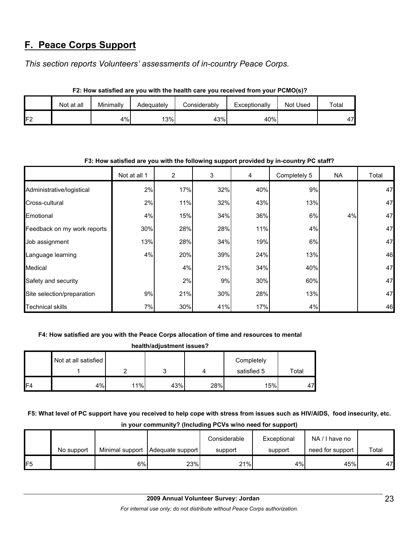# **F. Peace Corps Support**

*This section reports Volunteers' assessments of in-country Peace Corps.* 

|                | Not at all | Minimally | Adeguatelv | Considerablv | Exceptionally | Not Used | Total |  |  |
|----------------|------------|-----------|------------|--------------|---------------|----------|-------|--|--|
| F <sub>2</sub> |            | 4%        | 13%        | 43%          | 40%           |          | 47I   |  |  |

**F2: How satisfied are you with the health care you received from your PCMO(s)?**

| F3: How satisfied are you with the following support provided by in-country PC staff? |              |     |     |     |              |     |       |  |
|---------------------------------------------------------------------------------------|--------------|-----|-----|-----|--------------|-----|-------|--|
|                                                                                       | Not at all 1 | 2   | 3   | 4   | Completely 5 | NA. | Total |  |
| Administrative/logistical                                                             | 2%           | 17% | 32% | 40% | 9%           |     | 47    |  |
| Cross-cultural                                                                        | 2%           | 11% | 32% | 43% | 13%          |     | 47    |  |
| Emotional                                                                             | 4%           | 15% | 34% | 36% | 6%           | 4%  | 47    |  |
| Feedback on my work reports                                                           | 30%          | 28% | 28% | 11% | 4%           |     | 47    |  |
| Job assignment                                                                        | 13%          | 28% | 34% | 19% | 6%           |     | 47    |  |
| Language learning                                                                     | 4%           | 20% | 39% | 24% | 13%          |     | 46    |  |
| Medical                                                                               |              | 4%  | 21% | 34% | 40%          |     | 47    |  |
| Safety and security                                                                   |              | 2%  | 9%  | 30% | 60%          |     | 47    |  |
| Site selection/preparation                                                            | 9%           | 21% | 30% | 28% | 13%          |     | 47    |  |
| <b>Technical skills</b>                                                               | 7%           | 30% | 41% | 17% | 4%           |     | 46    |  |

## **F3: How satisfied are you with the following support provided by in-country PC staff?**

## **F4: How satisfied are you with the Peace Corps allocation of time and resources to mental**

| health/adjustment issues? |                      |     |     |     |                           |       |  |  |  |
|---------------------------|----------------------|-----|-----|-----|---------------------------|-------|--|--|--|
|                           | Not at all satisfied |     |     |     | Completely<br>satisfied 5 | Total |  |  |  |
| F <sub>4</sub>            | 4%                   | 11% | 43% | 28% | 15%                       | 47    |  |  |  |

**F5: What level of PC support have you received to help cope with stress from issues such as HIV/AIDS, food insecurity, etc. in your community? (Including PCVs w/no need for support)**

|     |            |                 |                  | Considerable | Exceptional | NA/I have no     |       |
|-----|------------|-----------------|------------------|--------------|-------------|------------------|-------|
|     | No support | Minimal support | Adequate support | support      | support     | need for support | Total |
| IF5 |            | 6%              | 23%              | 21%          | 4%          | 45%              | 47    |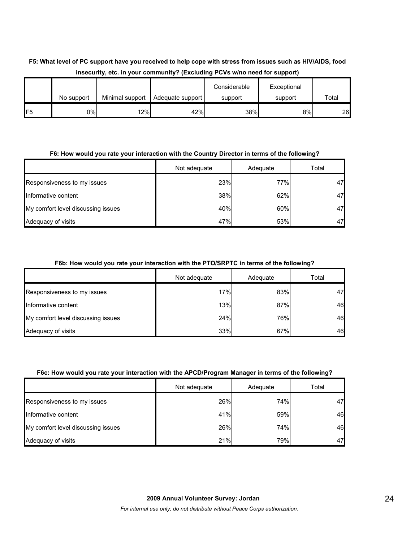## **F5: What level of PC support have you received to help cope with stress from issues such as HIV/AIDS, food insecurity, etc. in your community? (Excluding PCVs w/no need for support)**

|                 | No support | Minimal support | Adequate support | Considerable<br>support | Exceptional<br>support | Total |
|-----------------|------------|-----------------|------------------|-------------------------|------------------------|-------|
| IF <sub>5</sub> | 0%I        | 12%             | 42%              | 38%                     | 8%                     | 26    |

## **F6: How would you rate your interaction with the Country Director in terms of the following?**

|                                    | Not adequate | Adequate | Total |
|------------------------------------|--------------|----------|-------|
| Responsiveness to my issues        | 23%          | 77%      | 47    |
| Informative content                | 38%          | 62%      | 47    |
| My comfort level discussing issues | 40%          | 60%      | 47    |
| Adequacy of visits                 | 47%          | 53%      | 47    |

#### **F6b: How would you rate your interaction with the PTO/SRPTC in terms of the following?**

|                                    | Not adequate | Adequate | Total |
|------------------------------------|--------------|----------|-------|
| Responsiveness to my issues        | 17%          | 83%      | 47    |
| Informative content                | 13%          | 87%      | 46    |
| My comfort level discussing issues | 24%          | 76%      | 46    |
| Adequacy of visits                 | 33%          | 67%      | 46    |

#### **F6c: How would you rate your interaction with the APCD/Program Manager in terms of the following?**

|                                    | Not adequate | Adequate | Total |
|------------------------------------|--------------|----------|-------|
| Responsiveness to my issues        | 26%          | 74%      | 47    |
| Informative content                | 41%          | 59%      | 46    |
| My comfort level discussing issues | 26%          | 74%      | 46    |
| Adequacy of visits                 | 21%          | 79%      | 47    |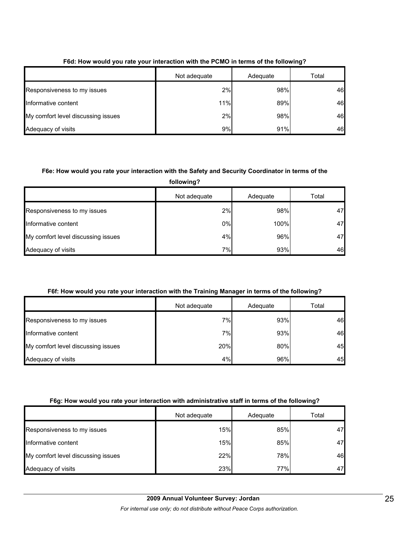|                                    | Not adequate | Adequate | Total |  |
|------------------------------------|--------------|----------|-------|--|
| Responsiveness to my issues        | 2%           | 98%      | 46    |  |
| Informative content                | 11%          | 89%      | 46    |  |
| My comfort level discussing issues | 2%           | 98%      | 46    |  |
| Adequacy of visits                 | 9%           | 91%      | 46    |  |

## **F6d: How would you rate your interaction with the PCMO in terms of the following?**

## **F6e: How would you rate your interaction with the Safety and Security Coordinator in terms of the**

| following?                         |              |          |       |  |  |
|------------------------------------|--------------|----------|-------|--|--|
|                                    | Not adequate | Adequate | Total |  |  |
| Responsiveness to my issues        | 2%           | 98%      | 47    |  |  |
| Informative content                | 0%           | 100%     | 47    |  |  |
| My comfort level discussing issues | 4%           | 96%      | 47    |  |  |
| Adequacy of visits                 | 7%           | 93%      | 46    |  |  |

## **F6f: How would you rate your interaction with the Training Manager in terms of the following?**

|                                    | Not adequate | Adequate | Total |
|------------------------------------|--------------|----------|-------|
| Responsiveness to my issues        | 7%           | 93%      | 46    |
| Informative content                | 7%           | 93%      | 46    |
| My comfort level discussing issues | 20%          | 80%      | 45    |
| Adequacy of visits                 | 4%           | 96%      | 45    |

## **F6g: How would you rate your interaction with administrative staff in terms of the following?**

|                                    | Not adequate | Adequate | Total |
|------------------------------------|--------------|----------|-------|
| Responsiveness to my issues        | 15%          | 85%      | 47    |
| Informative content                | 15%          | 85%      | 47    |
| My comfort level discussing issues | 22%          | 78%      | 46    |
| Adequacy of visits                 | 23%          | 77%      | 47    |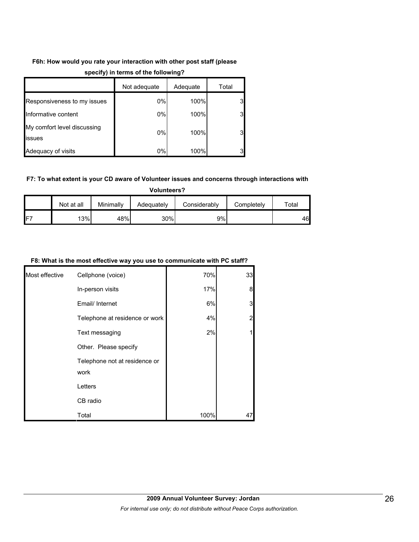## **F6h: How would you rate your interaction with other post staff (please**

|                                       | . .          |          |       |  |  |
|---------------------------------------|--------------|----------|-------|--|--|
|                                       | Not adequate | Adequate | Total |  |  |
| Responsiveness to my issues           | $0\%$        | 100%     | 3     |  |  |
| Informative content                   | 0%           | 100%     | 3     |  |  |
| My comfort level discussing<br>issues | 0%           | 100%     | 3     |  |  |
| Adequacy of visits                    | $0\%$        | 100%     | 3     |  |  |

## **specify) in terms of the following?**

#### **F7: To what extent is your CD aware of Volunteer issues and concerns through interactions with**

| <b>Volunteers?</b> |            |           |            |              |            |       |
|--------------------|------------|-----------|------------|--------------|------------|-------|
|                    | Not at all | Minimally | Adequately | Considerably | Completely | Total |
| IF <sub>7</sub>    | 13%        | 48%       | 30%        | 9%           |            | 46    |

#### **F8: What is the most effective way you use to communicate with PC staff?**

| Most effective | Cellphone (voice)                     | 70%  | 33             |
|----------------|---------------------------------------|------|----------------|
|                | In-person visits                      | 17%  | 8              |
|                | Email/ Internet                       | 6%   | 3              |
|                | Telephone at residence or work        | 4%   | $\overline{2}$ |
|                | Text messaging                        | 2%   | $\mathbf{1}$   |
|                | Other. Please specify                 |      |                |
|                | Telephone not at residence or<br>work |      |                |
|                | Letters                               |      |                |
|                | CB radio                              |      |                |
|                | Total                                 | 100% | 47             |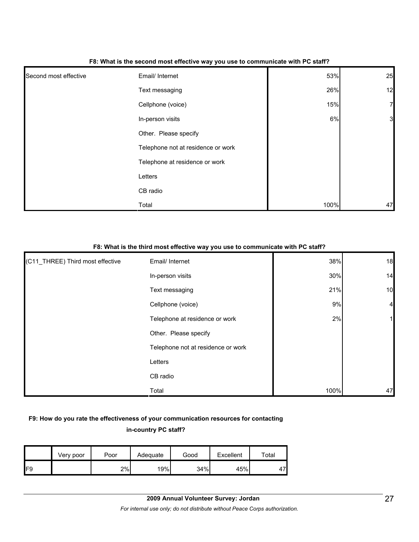|                       | - -                                |      |              |
|-----------------------|------------------------------------|------|--------------|
| Second most effective | Email/ Internet                    | 53%  | 25           |
|                       | Text messaging                     | 26%  | 12           |
|                       | Cellphone (voice)                  | 15%  | $\mathbf{z}$ |
|                       | In-person visits                   | 6%   | $\mathbf{3}$ |
|                       | Other. Please specify              |      |              |
|                       | Telephone not at residence or work |      |              |
|                       | Telephone at residence or work     |      |              |
|                       | Letters                            |      |              |
|                       | CB radio                           |      |              |
|                       | Total                              | 100% | 47           |

#### **F8: What is the second most effective way you use to communicate with PC staff?**

#### **F8: What is the third most effective way you use to communicate with PC staff?**

| (C11_THREE) Third most effective | Email/ Internet                    | 38%  | 18             |
|----------------------------------|------------------------------------|------|----------------|
|                                  | In-person visits                   | 30%  | 14             |
|                                  | Text messaging                     | 21%  | 10             |
|                                  | Cellphone (voice)                  | 9%   | $\overline{a}$ |
|                                  | Telephone at residence or work     | 2%   |                |
|                                  | Other. Please specify              |      |                |
|                                  | Telephone not at residence or work |      |                |
|                                  | Letters                            |      |                |
|                                  | CB radio                           |      |                |
|                                  | Total                              | 100% | 47             |

## **F9: How do you rate the effectiveness of your communication resources for contacting in-country PC staff?**

|     | Very poor | Poor | Adequate | Good | Excellent | $\tau$ otal |
|-----|-----------|------|----------|------|-----------|-------------|
| IF9 |           | 2%   | 19%      | 34%  | 45%       | 47          |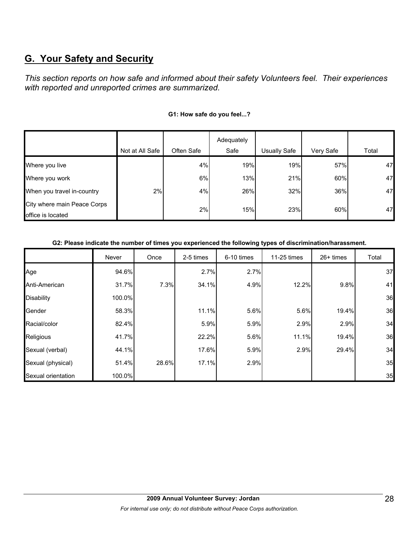# **G. Your Safety and Security**

*This section reports on how safe and informed about their safety Volunteers feel. Their experiences with reported and unreported crimes are summarized.* 

|                 |            | Adequately |              |                          |                          |
|-----------------|------------|------------|--------------|--------------------------|--------------------------|
| Not at All Safe | Often Safe | Safe       | Usually Safe | Very Safe                | Total                    |
|                 | 4%         |            |              | 57%                      | 47                       |
|                 | 6%         |            |              | 60%                      | 47                       |
| 2%              | 4%         |            |              | 36%                      | 47                       |
|                 | 2%         |            |              | 60%                      | 47                       |
|                 |            |            |              | 19%<br>13%<br>26%<br>15% | 19%<br>21%<br>32%<br>23% |

### **G1: How safe do you feel...?**

#### **G2: Please indicate the number of times you experienced the following types of discrimination/harassment.**

|                    | Never  | Once  | 2-5 times | 6-10 times | 11-25 times | $26+$ times | Total |
|--------------------|--------|-------|-----------|------------|-------------|-------------|-------|
| Age                | 94.6%  |       | 2.7%      | 2.7%       |             |             | 37    |
| Anti-American      | 31.7%  | 7.3%  | 34.1%     | 4.9%       | 12.2%       | 9.8%        | 41    |
| <b>Disability</b>  | 100.0% |       |           |            |             |             | 36    |
| Gender             | 58.3%  |       | 11.1%     | 5.6%       | 5.6%        | 19.4%       | 36    |
| Racial/color       | 82.4%  |       | 5.9%      | 5.9%       | 2.9%        | 2.9%        | 34    |
| Religious          | 41.7%  |       | 22.2%     | 5.6%       | 11.1%       | 19.4%       | 36    |
| Sexual (verbal)    | 44.1%  |       | 17.6%     | 5.9%       | 2.9%        | 29.4%       | 34    |
| Sexual (physical)  | 51.4%  | 28.6% | 17.1%     | 2.9%       |             |             | 35    |
| Sexual orientation | 100.0% |       |           |            |             |             | 35    |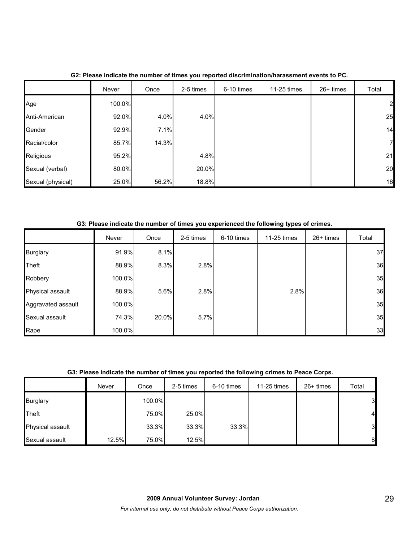|                   | Never  | Once  | 2-5 times | 6-10 times | 11-25 times | $26+$ times | Total        |
|-------------------|--------|-------|-----------|------------|-------------|-------------|--------------|
| Age               | 100.0% |       |           |            |             |             | $\mathbf{2}$ |
| Anti-American     | 92.0%  | 4.0%  | 4.0%      |            |             |             | 25           |
| Gender            | 92.9%  | 7.1%  |           |            |             |             | 14           |
| Racial/color      | 85.7%  | 14.3% |           |            |             |             | 71           |
| Religious         | 95.2%  |       | 4.8%      |            |             |             | 21           |
| Sexual (verbal)   | 80.0%  |       | 20.0%     |            |             |             | 20           |
| Sexual (physical) | 25.0%  | 56.2% | 18.8%     |            |             |             | 16           |

**G2: Please indicate the number of times you reported discrimination/harassment events to PC.**

**G3: Please indicate the number of times you experienced the following types of crimes.**

|                    | Never  | Once  | 2-5 times | 6-10 times | 11-25 times | $26+$ times | Total |
|--------------------|--------|-------|-----------|------------|-------------|-------------|-------|
| <b>Burglary</b>    | 91.9%  | 8.1%  |           |            |             |             | 37    |
| Theft              | 88.9%  | 8.3%  | 2.8%      |            |             |             | 36    |
| Robbery            | 100.0% |       |           |            |             |             | 35    |
| Physical assault   | 88.9%  | 5.6%  | 2.8%      |            | 2.8%        |             | 36    |
| Aggravated assault | 100.0% |       |           |            |             |             | 35    |
| Sexual assault     | 74.3%  | 20.0% | 5.7%      |            |             |             | 35    |
| Rape               | 100.0% |       |           |            |             |             | 33    |

## **G3: Please indicate the number of times you reported the following crimes to Peace Corps.**

|                  | Never | Once   | 2-5 times | 6-10 times | 11-25 times | $26+$ times | Total          |
|------------------|-------|--------|-----------|------------|-------------|-------------|----------------|
| <b>Burglary</b>  |       | 100.0% |           |            |             |             | $\mathbf{3}$   |
| Theft            |       | 75.0%  | 25.0%     |            |             |             | $\overline{4}$ |
| Physical assault |       | 33.3%  | 33.3%     | 33.3%      |             |             | $\mathbf{3}$   |
| Sexual assault   | 12.5% | 75.0%  | 12.5%     |            |             |             | 8              |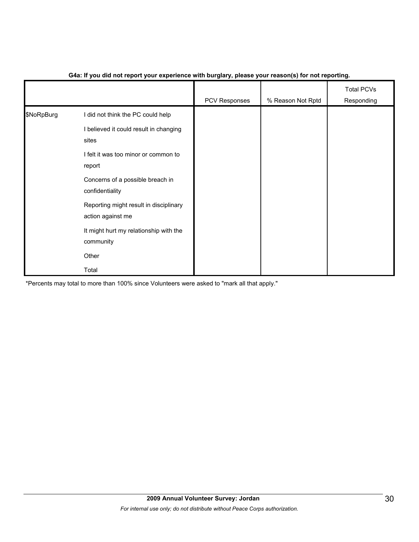|            |                                                             | PCV Responses | % Reason Not Rptd | <b>Total PCVs</b><br>Responding |
|------------|-------------------------------------------------------------|---------------|-------------------|---------------------------------|
| \$NoRpBurg | I did not think the PC could help                           |               |                   |                                 |
|            | I believed it could result in changing<br>sites             |               |                   |                                 |
|            | I felt it was too minor or common to<br>report              |               |                   |                                 |
|            | Concerns of a possible breach in<br>confidentiality         |               |                   |                                 |
|            | Reporting might result in disciplinary<br>action against me |               |                   |                                 |
|            | It might hurt my relationship with the<br>community         |               |                   |                                 |
|            | Other                                                       |               |                   |                                 |
|            | Total                                                       |               |                   |                                 |

## **G4a: If you did not report your experience with burglary, please your reason(s) for not reporting.**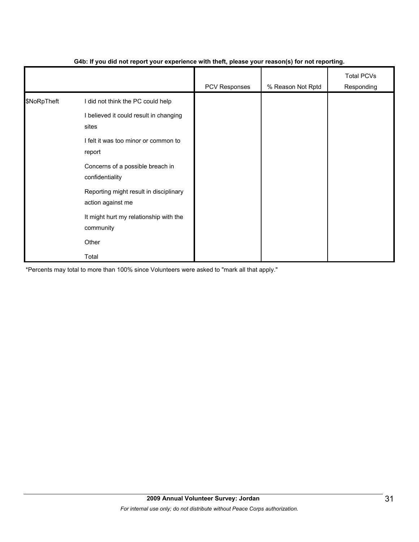|             |                                                             | PCV Responses | % Reason Not Rptd | <b>Total PCVs</b><br>Responding |
|-------------|-------------------------------------------------------------|---------------|-------------------|---------------------------------|
| \$NoRpTheft | I did not think the PC could help                           |               |                   |                                 |
|             | I believed it could result in changing<br>sites             |               |                   |                                 |
|             | I felt it was too minor or common to<br>report              |               |                   |                                 |
|             | Concerns of a possible breach in<br>confidentiality         |               |                   |                                 |
|             | Reporting might result in disciplinary<br>action against me |               |                   |                                 |
|             | It might hurt my relationship with the<br>community         |               |                   |                                 |
|             | Other                                                       |               |                   |                                 |
|             | Total                                                       |               |                   |                                 |

## **G4b: If you did not report your experience with theft, please your reason(s) for not reporting.**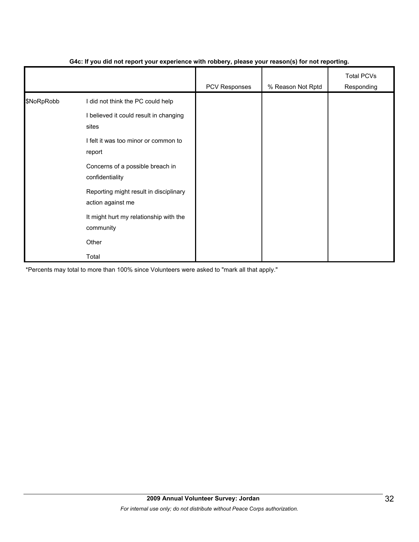|            |                                                             | PCV Responses | % Reason Not Rptd | <b>Total PCVs</b><br>Responding |
|------------|-------------------------------------------------------------|---------------|-------------------|---------------------------------|
| \$NoRpRobb | I did not think the PC could help                           |               |                   |                                 |
|            | I believed it could result in changing<br>sites             |               |                   |                                 |
|            | I felt it was too minor or common to<br>report              |               |                   |                                 |
|            | Concerns of a possible breach in<br>confidentiality         |               |                   |                                 |
|            | Reporting might result in disciplinary<br>action against me |               |                   |                                 |
|            | It might hurt my relationship with the<br>community         |               |                   |                                 |
|            | Other                                                       |               |                   |                                 |
|            | Total                                                       |               |                   |                                 |

## **G4c: If you did not report your experience with robbery, please your reason(s) for not reporting.**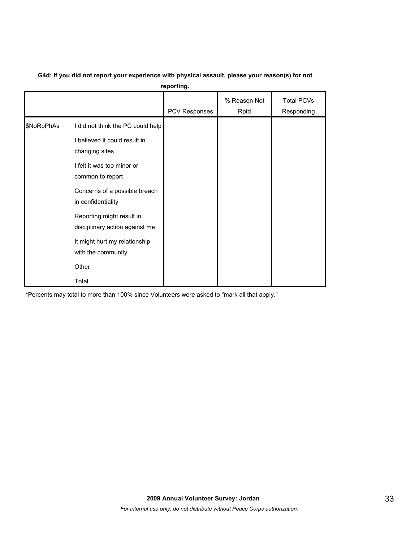|            |                                                                                                                                        | reporting.    |                      |                                 |
|------------|----------------------------------------------------------------------------------------------------------------------------------------|---------------|----------------------|---------------------------------|
|            |                                                                                                                                        | PCV Responses | % Reason Not<br>Rptd | <b>Total PCVs</b><br>Responding |
| \$NoRpPhAs | I did not think the PC could help<br>I believed it could result in<br>changing sites<br>I felt it was too minor or<br>common to report |               |                      |                                 |
|            | Concerns of a possible breach<br>in confidentiality                                                                                    |               |                      |                                 |
|            | Reporting might result in<br>disciplinary action against me<br>It might hurt my relationship<br>with the community                     |               |                      |                                 |
|            | Other<br>Total                                                                                                                         |               |                      |                                 |

#### **G4d: If you did not report your experience with physical assault, please your reason(s) for not reporting.**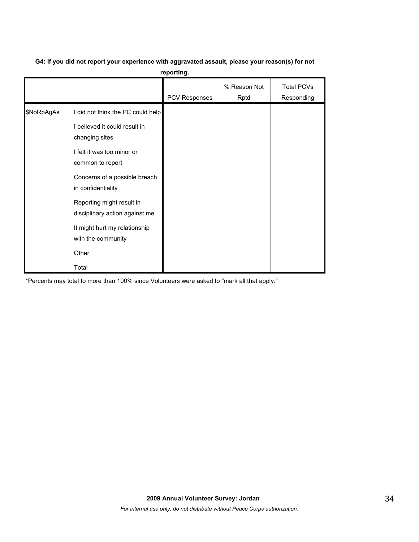# **G4: If you did not report your experience with aggravated assault, please your reason(s) for not**

**reporting.**

|            |                                                                                                                                                                         | PCV Responses | % Reason Not<br>Rptd | <b>Total PCVs</b><br>Responding |
|------------|-------------------------------------------------------------------------------------------------------------------------------------------------------------------------|---------------|----------------------|---------------------------------|
| \$NoRpAgAs | I did not think the PC could help<br>I believed it could result in<br>changing sites<br>I felt it was too minor or<br>common to report<br>Concerns of a possible breach |               |                      |                                 |
|            | in confidentiality<br>Reporting might result in<br>disciplinary action against me<br>It might hurt my relationship<br>with the community<br>Other<br>Total              |               |                      |                                 |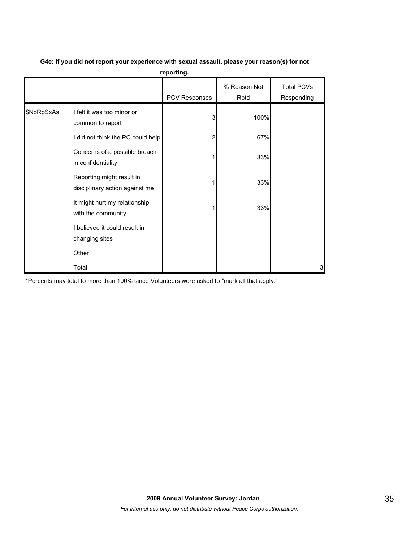|            |                                                             | reporting.    |                      |                                 |
|------------|-------------------------------------------------------------|---------------|----------------------|---------------------------------|
|            |                                                             | PCV Responses | % Reason Not<br>Rptd | <b>Total PCVs</b><br>Responding |
| \$NoRpSxAs | I felt it was too minor or<br>common to report              | 3             | 100%                 |                                 |
|            | I did not think the PC could help                           | 2             | 67%                  |                                 |
|            | Concerns of a possible breach<br>in confidentiality         |               | 33%                  |                                 |
|            | Reporting might result in<br>disciplinary action against me |               | 33%                  |                                 |
|            | It might hurt my relationship<br>with the community         |               | 33%                  |                                 |
|            | I believed it could result in<br>changing sites             |               |                      |                                 |
|            | Other                                                       |               |                      |                                 |
|            | Total                                                       |               |                      | 3                               |

## **G4e: If you did not report your experience with sexual assault, please your reason(s) for not**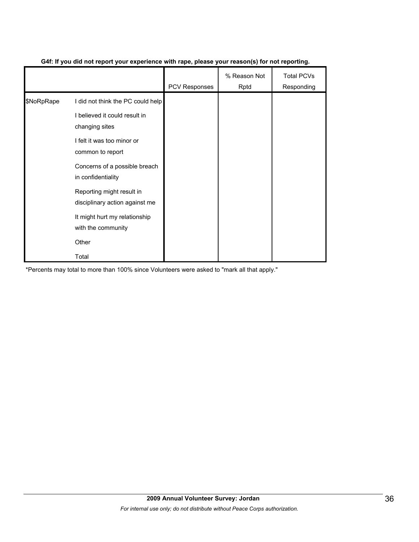|            |                                                             | <b>PCV Responses</b> | % Reason Not<br>Rptd | <b>Total PCVs</b><br>Responding |
|------------|-------------------------------------------------------------|----------------------|----------------------|---------------------------------|
| \$NoRpRape | I did not think the PC could help                           |                      |                      |                                 |
|            | I believed it could result in<br>changing sites             |                      |                      |                                 |
|            | I felt it was too minor or<br>common to report              |                      |                      |                                 |
|            | Concerns of a possible breach<br>in confidentiality         |                      |                      |                                 |
|            | Reporting might result in<br>disciplinary action against me |                      |                      |                                 |
|            | It might hurt my relationship<br>with the community         |                      |                      |                                 |
|            | Other                                                       |                      |                      |                                 |
|            | Total                                                       |                      |                      |                                 |

## **G4f: If you did not report your experience with rape, please your reason(s) for not reporting.**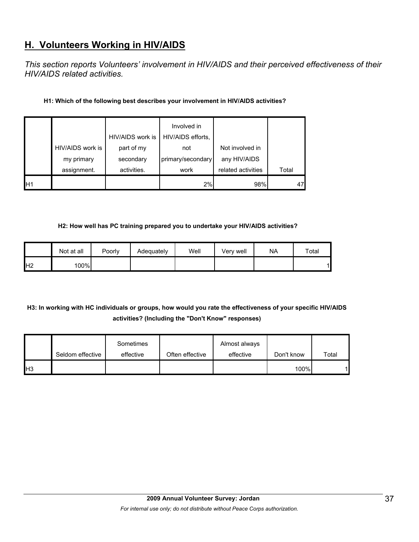# **H. Volunteers Working in HIV/AIDS**

*This section reports Volunteers' involvement in HIV/AIDS and their perceived effectiveness of their HIV/AIDS related activities.* 

## **H1: Which of the following best describes your involvement in HIV/AIDS activities?**

|                 |                  | HIV/AIDS work is | Involved in<br>HIV/AIDS efforts, |                    |       |
|-----------------|------------------|------------------|----------------------------------|--------------------|-------|
|                 | HIV/AIDS work is | part of my       | not                              | Not involved in    |       |
|                 | my primary       | secondary        | primary/secondary                | any HIV/AIDS       |       |
|                 | assignment.      | activities.      | work                             | related activities | Total |
| IH <sub>1</sub> |                  |                  | 2%                               | 98%                |       |

#### **H2: How well has PC training prepared you to undertake your HIV/AIDS activities?**

|                | Not at all | Poorly | Adequately | Well | Verv well | <b>NA</b> | Total |
|----------------|------------|--------|------------|------|-----------|-----------|-------|
| H <sub>2</sub> | 100%       |        |            |      |           |           | 1     |

## **H3: In working with HC individuals or groups, how would you rate the effectiveness of your specific HIV/AIDS activities? (Including the "Don't Know" responses)**

|                 | Seldom effective | Sometimes<br>effective | Often effective | Almost always<br>effective | Don't know | Total |
|-----------------|------------------|------------------------|-----------------|----------------------------|------------|-------|
| IH <sub>3</sub> |                  |                        |                 |                            | 100%       | 1     |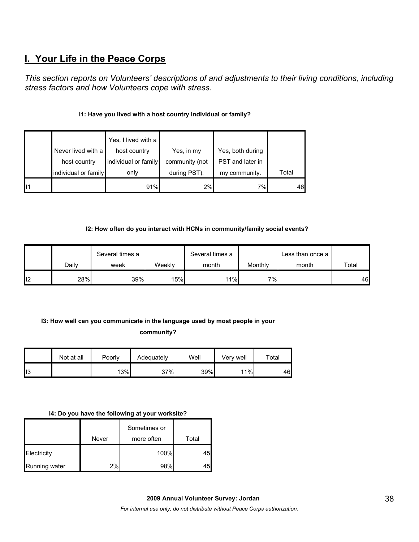# **I. Your Life in the Peace Corps**

*This section reports on Volunteers' descriptions of and adjustments to their living conditions, including stress factors and how Volunteers cope with stress.* 

## **I1: Have you lived with a host country individual or family?**

|    |                      | Yes, I lived with a  |                |                  |       |
|----|----------------------|----------------------|----------------|------------------|-------|
|    | Never lived with a   | host country         | Yes, in my     | Yes, both during |       |
|    | host country         | individual or family | community (not | PST and later in |       |
|    | individual or family | only                 | during PST).   | my community.    | Total |
| 11 |                      | 91%                  | 2%             | 7%               | 46    |

## **I2: How often do you interact with HCNs in community/family social events?**

|     |       | Several times a |        | Several times a |         | Less than once a |       |
|-----|-------|-----------------|--------|-----------------|---------|------------------|-------|
|     | Daily | week            | Weekly | month           | Monthly | month            | Total |
| ll2 | 28%   | 39%             | 15%    | $11\%$          | $7\%$   |                  | 46    |

## **I3: How well can you communicate in the language used by most people in your community?**

|                | Not at all | Poorly | Adequately | Well | Verv well | Total |
|----------------|------------|--------|------------|------|-----------|-------|
| $\mathsf{II}3$ |            | 13%    | 37%        | 39%  | 11%       | 46    |

#### **I4: Do you have the following at your worksite?**

|               | Never | Sometimes or<br>more often | Total |
|---------------|-------|----------------------------|-------|
| Electricity   |       | 100%                       | 45    |
| Running water | 2%    | 98%                        | 45    |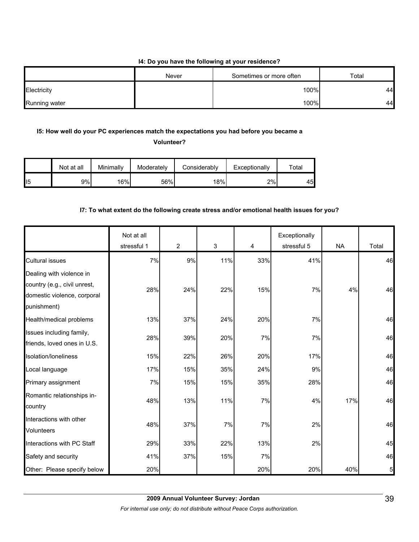#### **I4: Do you have the following at your residence?**

|               | Never | Sometimes or more often | Total |
|---------------|-------|-------------------------|-------|
| Electricity   |       | 100%                    | 44    |
| Running water |       | 100%                    | 44    |

## **I5: How well do your PC experiences match the expectations you had before you became a**

**Volunteer?** 

|                 | Not at all | Minimallv | Moderately | Considerably | Exceptionally | $\tau$ otal |
|-----------------|------------|-----------|------------|--------------|---------------|-------------|
| II <sub>5</sub> | 9%         | 16%       | 56%        | 18%          | 2%            | 45          |

## **I7: To what extent do the following create stress and/or emotional health issues for you?**

|                                                                                                        | Not at all<br>stressful 1 | $\overline{2}$ | 3   | 4   | Exceptionally<br>stressful 5 | <b>NA</b> | Total |
|--------------------------------------------------------------------------------------------------------|---------------------------|----------------|-----|-----|------------------------------|-----------|-------|
| <b>Cultural issues</b>                                                                                 | 7%                        | 9%             | 11% | 33% | 41%                          |           | 46    |
| Dealing with violence in<br>country (e.g., civil unrest,<br>domestic violence, corporal<br>punishment) | 28%                       | 24%            | 22% | 15% | 7%                           | 4%        | 46    |
| Health/medical problems                                                                                | 13%                       | 37%            | 24% | 20% | 7%                           |           | 46    |
| Issues including family,<br>friends, loved ones in U.S.                                                | 28%                       | 39%            | 20% | 7%  | 7%                           |           | 46    |
| Isolation/loneliness                                                                                   | 15%                       | 22%            | 26% | 20% | 17%                          |           | 46    |
| Local language                                                                                         | 17%                       | 15%            | 35% | 24% | 9%                           |           | 46    |
| Primary assignment                                                                                     | 7%                        | 15%            | 15% | 35% | 28%                          |           | 46    |
| Romantic relationships in-<br>country                                                                  | 48%                       | 13%            | 11% | 7%  | 4%                           | 17%       | 46    |
| Interactions with other<br><b>Volunteers</b>                                                           | 48%                       | 37%            | 7%  | 7%  | 2%                           |           | 46    |
| Interactions with PC Staff                                                                             | 29%                       | 33%            | 22% | 13% | 2%                           |           | 45    |
| Safety and security                                                                                    | 41%                       | 37%            | 15% | 7%  |                              |           | 46    |
| Other: Please specify below                                                                            | 20%                       |                |     | 20% | 20%                          | 40%       | 5     |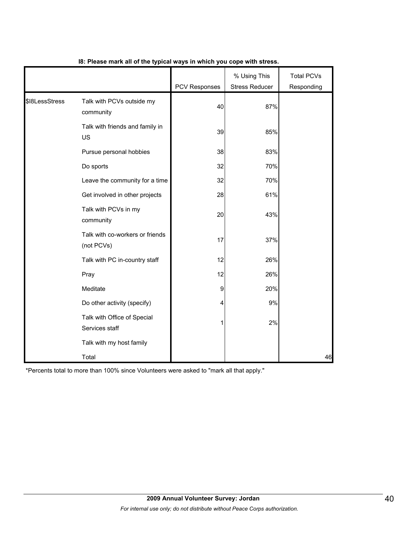|                |                                               | PCV Responses | % Using This<br><b>Stress Reducer</b> | <b>Total PCVs</b><br>Responding |
|----------------|-----------------------------------------------|---------------|---------------------------------------|---------------------------------|
| \$18LessStress | Talk with PCVs outside my<br>community        | 40            | 87%                                   |                                 |
|                | Talk with friends and family in<br>US         | 39            | 85%                                   |                                 |
|                | Pursue personal hobbies                       | 38            | 83%                                   |                                 |
|                | Do sports                                     | 32            | 70%                                   |                                 |
|                | Leave the community for a time                | 32            | 70%                                   |                                 |
|                | Get involved in other projects                | 28            | 61%                                   |                                 |
|                | Talk with PCVs in my<br>community             | 20            | 43%                                   |                                 |
|                | Talk with co-workers or friends<br>(not PCVs) | 17            | 37%                                   |                                 |
|                | Talk with PC in-country staff                 | 12            | 26%                                   |                                 |
|                | Pray                                          | 12            | 26%                                   |                                 |
|                | Meditate                                      | 9             | 20%                                   |                                 |
|                | Do other activity (specify)                   | 4             | 9%                                    |                                 |
|                | Talk with Office of Special<br>Services staff | 1             | 2%                                    |                                 |
|                | Talk with my host family                      |               |                                       |                                 |
|                | Total                                         |               |                                       | 46                              |

## **I8: Please mark all of the typical ways in which you cope with stress.**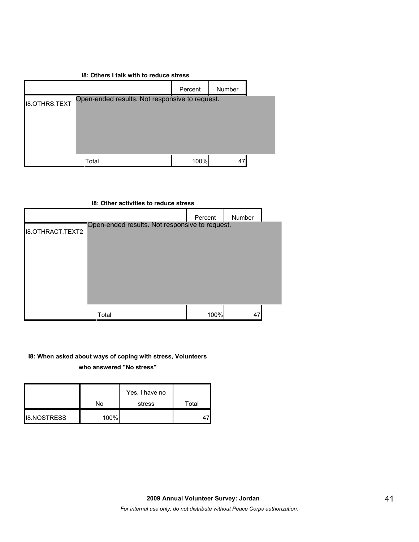| 18: Others I talk with to reduce stress |         |        |                                                      |  |  |  |
|-----------------------------------------|---------|--------|------------------------------------------------------|--|--|--|
|                                         | Percent | Number |                                                      |  |  |  |
|                                         |         |        |                                                      |  |  |  |
|                                         |         |        |                                                      |  |  |  |
|                                         |         |        |                                                      |  |  |  |
|                                         |         |        |                                                      |  |  |  |
| Total                                   | 100%    |        |                                                      |  |  |  |
|                                         |         |        | Open-ended results. Not responsive to request.<br>47 |  |  |  |

|                         | 18: Other activities to reduce stress          |         |        |  |
|-------------------------|------------------------------------------------|---------|--------|--|
|                         |                                                | Percent | Number |  |
| <b>18.OTHRACT.TEXT2</b> | Open-ended results. Not responsive to request. |         |        |  |
|                         | Total                                          | 100%    | 47     |  |

#### **I8: When asked about ways of coping with stress, Volunteers**

**who answered "No stress"** 

|                    | No   | Yes, I have no<br>stress | Total |
|--------------------|------|--------------------------|-------|
| <b>I8.NOSTRESS</b> | 100% |                          |       |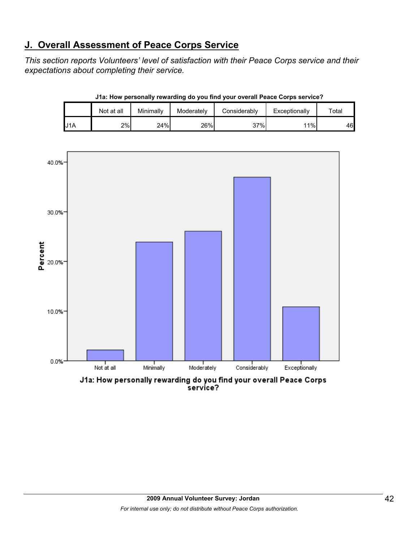# **J. Overall Assessment of Peace Corps Service**

*This section reports Volunteers' level of satisfaction with their Peace Corps service and their expectations about completing their service.* 

|     | Not at all | Minimally | Moderately | Considerably | Exceptionally | Total |
|-----|------------|-----------|------------|--------------|---------------|-------|
| J1A | 2%         | 24%       | 26%        | 37%          | 11%           | 46    |

**J1a: How personally rewarding do you find your overall Peace Corps service?**



service?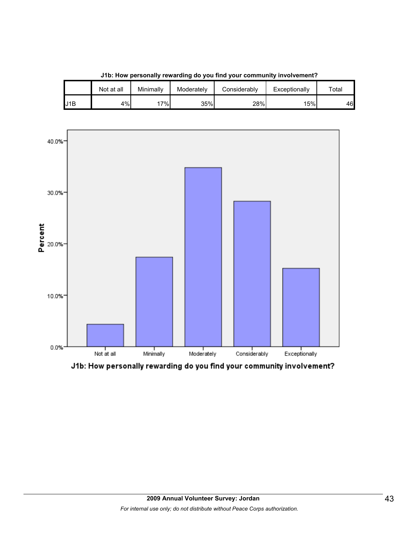

**J1b: How personally rewarding do you find your community involvement?**

J1B | 4%| 17%| 35%| 28%| 15%| 46

Not at all | Minimally | Moderately | Considerably | Exceptionally | Total

J1b: How personally rewarding do you find your community involvement?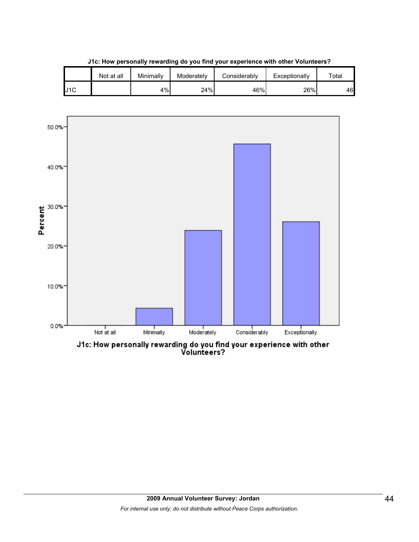|     | Not at all | Minimally | Moderately | Considerablv | Exceptionally | $\tau$ otal |
|-----|------------|-----------|------------|--------------|---------------|-------------|
| J1C |            | 4%        | 24%        | 46%          | 26%           | 46          |

**J1c: How personally rewarding do you find your experience with other Volunteers?**



J1c: How personally rewarding do you find your experience with other<br>Volunteers?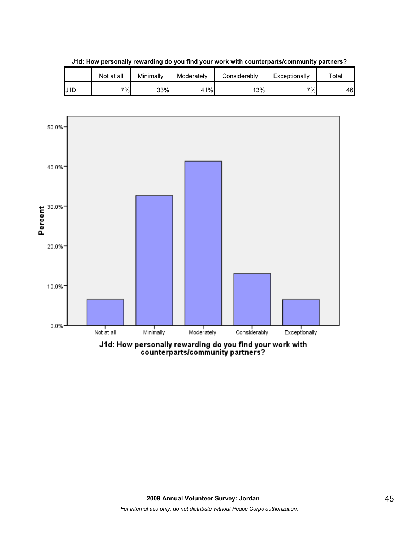|     | Not at all | Minimally | Moderately | Considerably | Exceptionally | $\tau$ otal |
|-----|------------|-----------|------------|--------------|---------------|-------------|
| J1D | 7%         | 33%       | 41%        | 13%          | $7\%$         | 46          |

**J1d: How personally rewarding do you find your work with counterparts/community partners?**

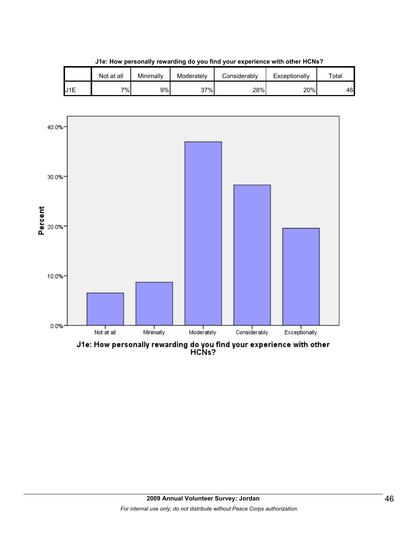





J1e: How personally rewarding do you find your experience with other<br>HCNs?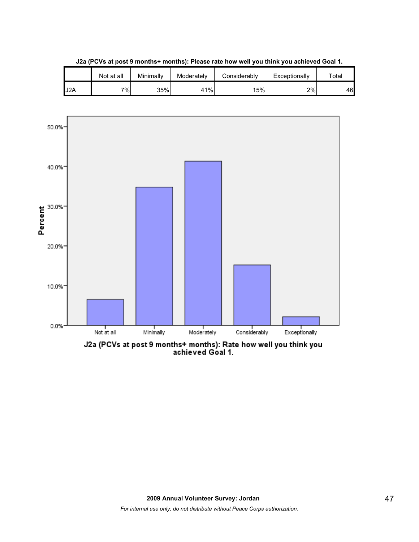

**J2a (PCVs at post 9 months+ months): Please rate how well you think you achieved Goal 1.**

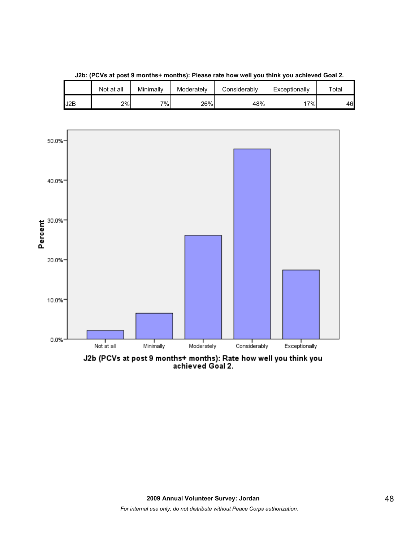

**J2b: (PCVs at post 9 months+ months): Please rate how well you think you achieved Goal 2.**

J2b (PCVs at post 9 months+ months): Rate how well you think you<br>achieved Goal 2.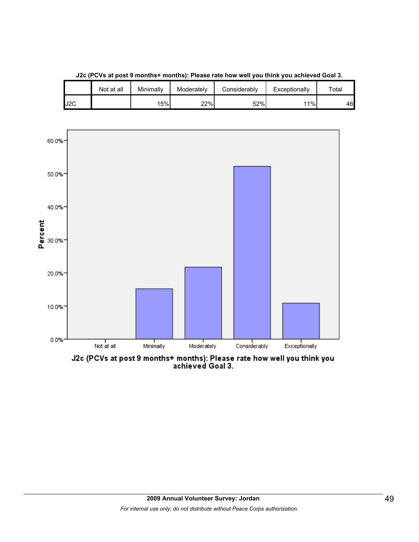

**J2c (PCVs at post 9 months+ months): Please rate how well you think you achieved Goal 3.**

J2c (PCVs at post 9 months+ months): Please rate how well you think you<br>achieved Goal 3.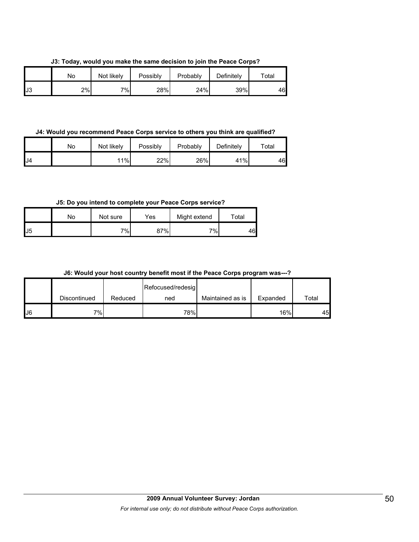**J3: Today, would you make the same decision to join the Peace Corps?**

|    | Nο | Not likely | Possibly | Probably | Definitely | $\tau$ otal |
|----|----|------------|----------|----------|------------|-------------|
| J3 | 2% | 7%         | 28%      | 24%      | 39%        | 46          |

**J4: Would you recommend Peace Corps service to others you think are qualified?**

|     | No | Not likely | Possibly | Probably | Definitely | $\tau$ otal |
|-----|----|------------|----------|----------|------------|-------------|
| IJ4 |    | 11%        | 22%      | 26%      | 41%        | 46          |

**J5: Do you intend to complete your Peace Corps service?**

|                   | No | Not sure | Yes | Might extend | Total |
|-------------------|----|----------|-----|--------------|-------|
| $\mathsf{L}^{15}$ |    | 7%       | 37% | $7\%$        | 46    |

|  |  |  |  |  | J6: Would your host country benefit most if the Peace Corps program was---? |  |
|--|--|--|--|--|-----------------------------------------------------------------------------|--|
|--|--|--|--|--|-----------------------------------------------------------------------------|--|

|    |              |         | Refocused/redesig |                  |          |       |
|----|--------------|---------|-------------------|------------------|----------|-------|
|    | Discontinued | Reduced | ned               | Maintained as is | Expanded | Total |
| J6 | 7%I          |         | 78%               |                  | 16%      | 45    |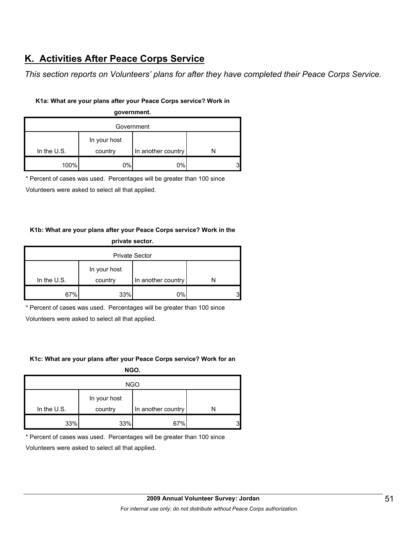# **K. Activities After Peace Corps Service**

*This section reports on Volunteers' plans for after they have completed their Peace Corps Service.* 

## **K1a: What are your plans after your Peace Corps service? Work in**

## **government.** Government In the U.S. In your host country In another country N 100% 0% 0% 0% 3

\* Percent of cases was used. Percentages will be greater than 100 since

Volunteers were asked to select all that applied.

## **K1b: What are your plans after your Peace Corps service? Work in the private sector.**

| <b>Private Sector</b> |                         |                    |   |  |  |
|-----------------------|-------------------------|--------------------|---|--|--|
| In the $U.S.$         | In your host<br>country | In another country |   |  |  |
| 67%                   | 33%                     | 0%                 | 3 |  |  |

\* Percent of cases was used. Percentages will be greater than 100 since

Volunteers were asked to select all that applied.

## **K1c: What are your plans after your Peace Corps service? Work for an**

| NGO.          |              |                    |  |   |  |  |
|---------------|--------------|--------------------|--|---|--|--|
| <b>NGO</b>    |              |                    |  |   |  |  |
|               | In your host |                    |  |   |  |  |
| In the $U.S.$ | country      | In another country |  |   |  |  |
| 33%           | 33%          | 67%                |  | 3 |  |  |

\* Percent of cases was used. Percentages will be greater than 100 since

Volunteers were asked to select all that applied.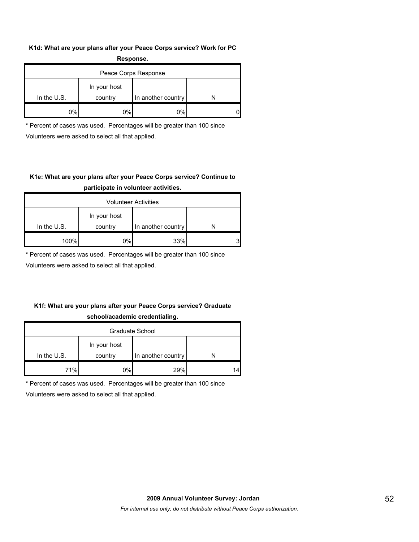#### **K1d: What are your plans after your Peace Corps service? Work for PC Response.**

| .                    |                         |                    |  |  |  |  |
|----------------------|-------------------------|--------------------|--|--|--|--|
| Peace Corps Response |                         |                    |  |  |  |  |
| In the $U.S.$        | In your host<br>country | In another country |  |  |  |  |
| 0%                   | 0%                      | 0%                 |  |  |  |  |

\* Percent of cases was used. Percentages will be greater than 100 since Volunteers were asked to select all that applied.

## **K1e: What are your plans after your Peace Corps service? Continue to participate in volunteer activities.**

| <b>Volunteer Activities</b> |              |                    |   |  |  |
|-----------------------------|--------------|--------------------|---|--|--|
|                             | In your host |                    |   |  |  |
| In the $U.S.$               | country      | In another country |   |  |  |
| 100%                        | 0%           | 33%                | 2 |  |  |

\* Percent of cases was used. Percentages will be greater than 100 since

Volunteers were asked to select all that applied.

## **K1f: What are your plans after your Peace Corps service? Graduate school/academic credentialing.**

| Graduate School |              |                    |    |  |  |  |
|-----------------|--------------|--------------------|----|--|--|--|
|                 | In your host |                    |    |  |  |  |
| In the $U.S.$   | country      | In another country |    |  |  |  |
| 71%             | 0%           | 29%                | 14 |  |  |  |

\* Percent of cases was used. Percentages will be greater than 100 since

Volunteers were asked to select all that applied.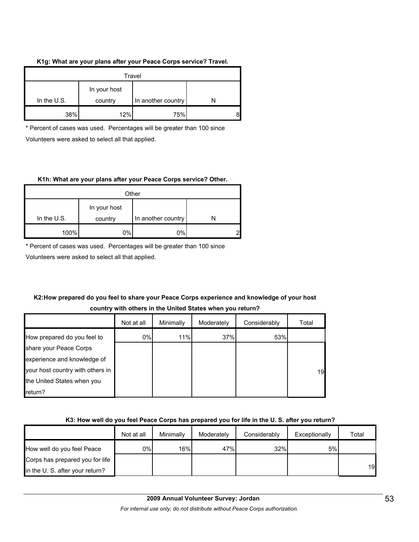## **K1g: What are your plans after your Peace Corps service? Travel.**

| Travel        |                         |                    |  |  |  |
|---------------|-------------------------|--------------------|--|--|--|
| In the $U.S.$ | In your host<br>country | In another country |  |  |  |
| 38%           | 12%                     | 75%                |  |  |  |

\* Percent of cases was used. Percentages will be greater than 100 since Volunteers were asked to select all that applied.

#### **K1h: What are your plans after your Peace Corps service? Other.**

| Other         |              |                    |   |  |  |  |
|---------------|--------------|--------------------|---|--|--|--|
|               | In your host |                    |   |  |  |  |
| In the $U.S.$ | country      | In another country |   |  |  |  |
| 100%          | 0%           | 0%                 | c |  |  |  |

\* Percent of cases was used. Percentages will be greater than 100 since

Volunteers were asked to select all that applied.

## **K2:How prepared do you feel to share your Peace Corps experience and knowledge of your host country with others in the United States when you return?**

|                                  | Not at all | Minimally | Moderately | Considerably | Total |
|----------------------------------|------------|-----------|------------|--------------|-------|
| How prepared do you feel to      | 0%         | 11%       | 37%        | 53%          |       |
| share your Peace Corps           |            |           |            |              |       |
| experience and knowledge of      |            |           |            |              |       |
| your host country with others in |            |           |            |              | 19    |
| the United States when you       |            |           |            |              |       |
| return?                          |            |           |            |              |       |

## **K3: How well do you feel Peace Corps has prepared you for life in the U. S. after you return?**

|                                 | Not at all | Minimally | Moderately | Considerably | Exceptionally | Total |
|---------------------------------|------------|-----------|------------|--------------|---------------|-------|
| How well do you feel Peace      | 0%         | 16%       | 47%        | 32%          | 5%            |       |
| Corps has prepared you for life |            |           |            |              |               |       |
| in the U. S. after your return? |            |           |            |              |               | 19    |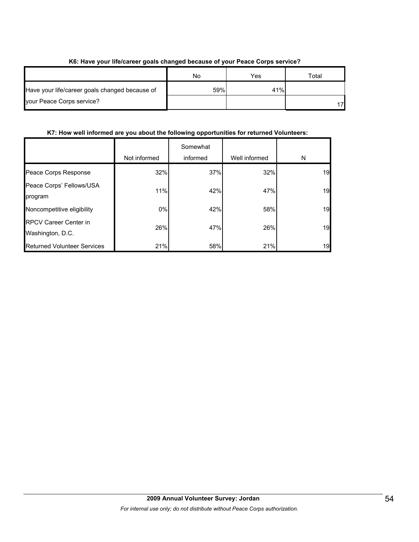|                                                | No  | Yes | ™otal |  |  |
|------------------------------------------------|-----|-----|-------|--|--|
| Have your life/career goals changed because of | 59% | 41% |       |  |  |
| your Peace Corps service?                      |     |     |       |  |  |

## **K6: Have your life/career goals changed because of your Peace Corps service?**

## **K7: How well informed are you about the following opportunities for returned Volunteers:**

|                                    | Not informed | Somewhat<br>informed | Well informed | N  |
|------------------------------------|--------------|----------------------|---------------|----|
|                                    |              |                      |               |    |
| Peace Corps Response               | 32%          | 37%                  | 32%           | 19 |
| Peace Corps' Fellows/USA           | 11%          | 42%                  | 47%           | 19 |
| program                            |              |                      |               |    |
| Noncompetitive eligibility         | $0\%$        | 42%                  | 58%           | 19 |
| <b>RPCV Career Center in</b>       | 26%          | 47%                  | 26%           | 19 |
| Washington, D.C.                   |              |                      |               |    |
| <b>Returned Volunteer Services</b> | 21%          | 58%                  | 21%           | 19 |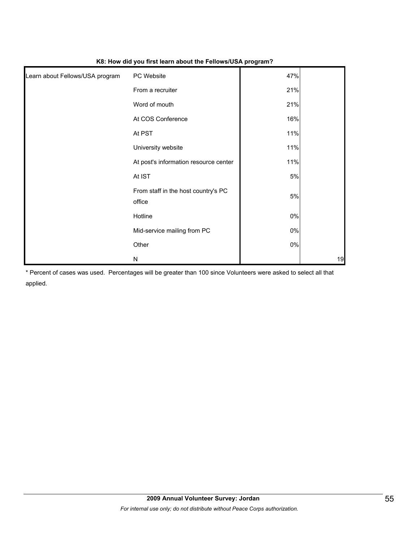| Learn about Fellows/USA program | PC Website                                    | 47%   |    |
|---------------------------------|-----------------------------------------------|-------|----|
|                                 | From a recruiter                              | 21%   |    |
|                                 | Word of mouth                                 | 21%   |    |
|                                 | At COS Conference                             | 16%   |    |
|                                 | At PST                                        | 11%   |    |
|                                 | University website                            | 11%   |    |
|                                 | At post's information resource center         | 11%   |    |
|                                 | At IST                                        | 5%    |    |
|                                 | From staff in the host country's PC<br>office | 5%    |    |
|                                 | Hotline                                       | $0\%$ |    |
|                                 | Mid-service mailing from PC                   | $0\%$ |    |
|                                 | Other                                         | $0\%$ |    |
|                                 | N                                             |       | 19 |

#### **K8: How did you first learn about the Fellows/USA program?**

\* Percent of cases was used. Percentages will be greater than 100 since Volunteers were asked to select all that applied.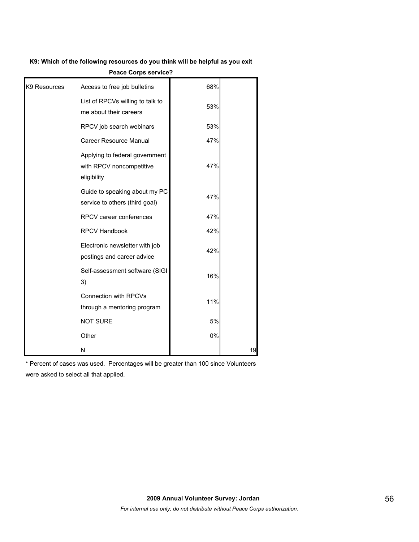#### **K9: Which of the following resources do you think will be helpful as you exit**

|              | Leare corbs service t                                                     |     |    |
|--------------|---------------------------------------------------------------------------|-----|----|
| K9 Resources | Access to free job bulletins                                              | 68% |    |
|              | List of RPCVs willing to talk to<br>me about their careers                | 53% |    |
|              | RPCV job search webinars                                                  | 53% |    |
|              | Career Resource Manual                                                    | 47% |    |
|              | Applying to federal government<br>with RPCV noncompetitive<br>eligibility | 47% |    |
|              | Guide to speaking about my PC<br>service to others (third goal)           | 47% |    |
|              | RPCV career conferences                                                   | 47% |    |
|              | <b>RPCV Handbook</b>                                                      | 42% |    |
|              | Electronic newsletter with job<br>postings and career advice              | 42% |    |
|              | Self-assessment software (SIGI<br>3)                                      | 16% |    |
|              | Connection with RPCVs<br>through a mentoring program                      | 11% |    |
|              | <b>NOT SURE</b>                                                           | 5%  |    |
|              | Other                                                                     | 0%  |    |
|              | N                                                                         |     | 19 |

**Peace Corps service?**

\* Percent of cases was used. Percentages will be greater than 100 since Volunteers were asked to select all that applied.